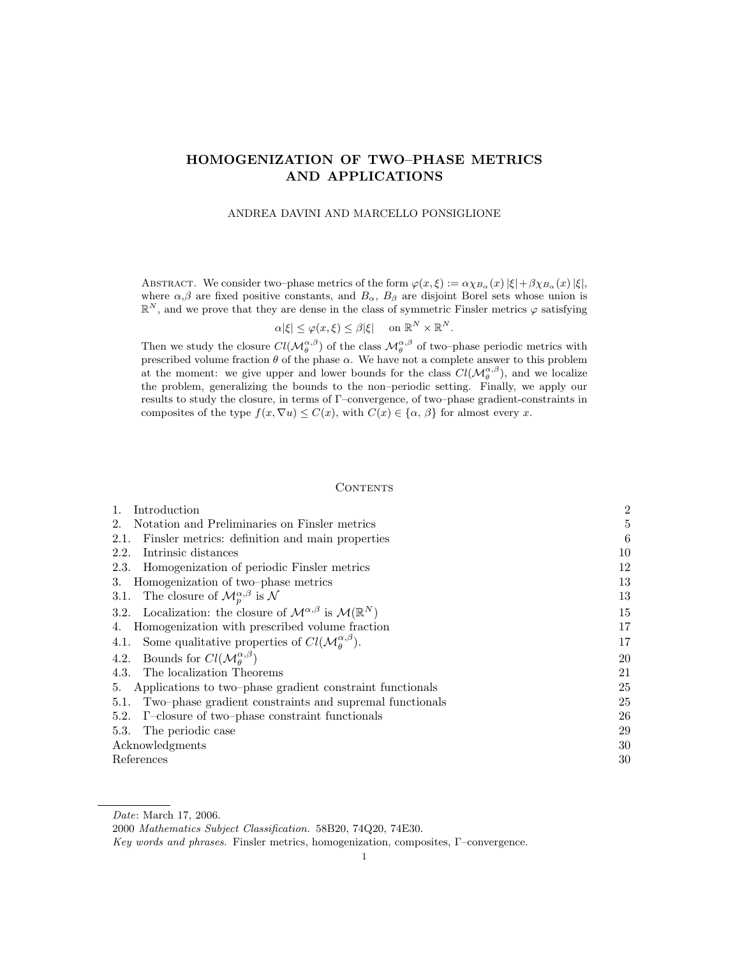## HOMOGENIZATION OF TWO–PHASE METRICS AND APPLICATIONS

### ANDREA DAVINI AND MARCELLO PONSIGLIONE

ABSTRACT. We consider two–phase metrics of the form  $\varphi(x,\xi) := \alpha \chi_{B_\alpha}(x) |\xi| + \beta \chi_{B_\alpha}(x) |\xi|$ , where  $\alpha, \beta$  are fixed positive constants, and  $B_{\alpha}$ ,  $B_{\beta}$  are disjoint Borel sets whose union is  $\mathbb{R}^N$ , and we prove that they are dense in the class of symmetric Finsler metrics  $\varphi$  satisfying

$$
\alpha|\xi| \le \varphi(x,\xi) \le \beta|\xi| \quad \text{ on } \mathbb{R}^N \times \mathbb{R}^N.
$$

Then we study the closure  $Cl(M_\theta^{\alpha,\beta})$  of the class  $M_\theta^{\alpha,\beta}$  of two–phase periodic metrics with prescribed volume fraction  $\theta$  of the phase  $\alpha$ . We have not a complete answer to this problem at the moment: we give upper and lower bounds for the class  $Cl(M_{\theta}^{\alpha,\beta})$ , and we localize the problem, generalizing the bounds to the non–periodic setting. Finally, we apply our results to study the closure, in terms of Γ–convergence, of two–phase gradient-constraints in composites of the type  $f(x, \nabla u) \leq C(x)$ , with  $C(x) \in {\alpha, \beta}$  for almost every x.

#### **CONTENTS**

| Introduction                                                                                  | $\overline{2}$ |
|-----------------------------------------------------------------------------------------------|----------------|
| Notation and Preliminaries on Finsler metrics<br>2.                                           | 5              |
| Finsler metrics: definition and main properties<br>2.1.                                       | 6              |
| Intrinsic distances<br>2.2.                                                                   | 10             |
| 2.3. Homogenization of periodic Finsler metrics                                               | 12             |
| Homogenization of two-phase metrics<br>3.                                                     | 13             |
| 3.1. The closure of $\mathcal{M}_{p}^{\alpha,\beta}$ is N                                     | 13             |
| 3.2. Localization: the closure of $\mathcal{M}^{\alpha,\beta}$ is $\mathcal{M}(\mathbb{R}^N)$ | 15             |
| Homogenization with prescribed volume fraction<br>4.                                          | 17             |
| 4.1. Some qualitative properties of $Cl(M_a^{\alpha,\beta})$ .                                | 17             |
| 4.2. Bounds for $Cl(M_a^{\alpha,\beta})$                                                      | 20             |
| 4.3. The localization Theorems                                                                | 21             |
| Applications to two-phase gradient constraint functionals<br>5.                               | 25             |
| 5.1. Two-phase gradient constraints and supremal functionals                                  | 25             |
| 5.2. $\Gamma$ -closure of two-phase constraint functionals                                    | 26             |
| The periodic case<br>5.3.                                                                     | 29             |
| Acknowledgments                                                                               | 30             |
| References                                                                                    | 30             |

Date: March 17, 2006.

<sup>2000</sup> Mathematics Subject Classification. 58B20, 74Q20, 74E30.

Key words and phrases. Finsler metrics, homogenization, composites, Γ–convergence.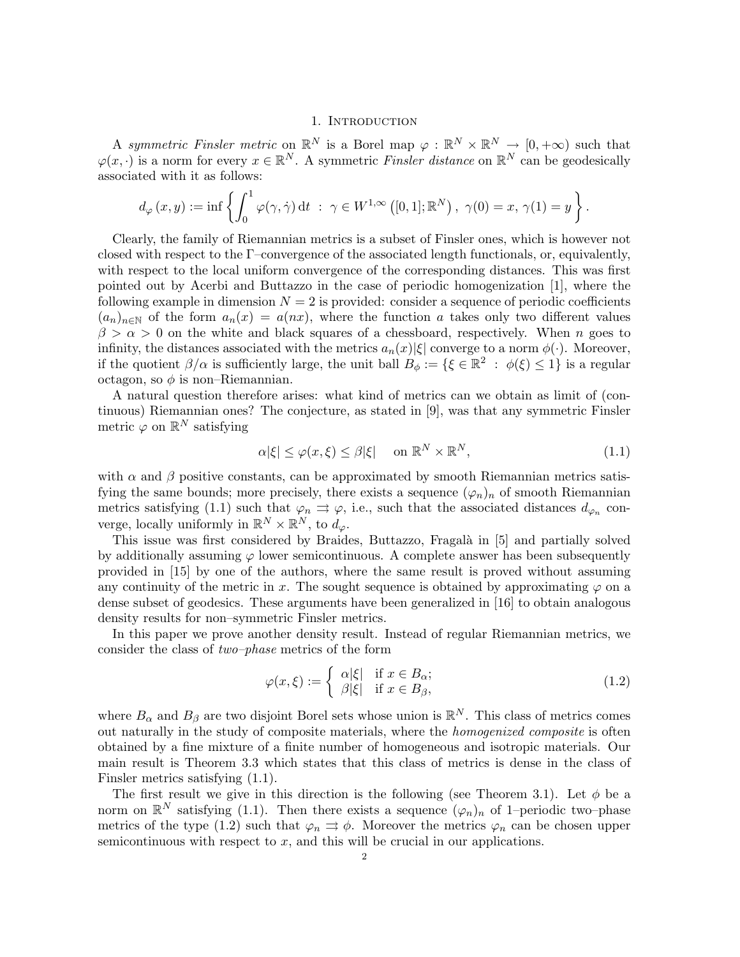### 1. INTRODUCTION

A symmetric Finsler metric on  $\mathbb{R}^N$  is a Borel map  $\varphi : \mathbb{R}^N \times \mathbb{R}^N \to [0, +\infty)$  such that  $\varphi(x, \cdot)$  is a norm for every  $x \in \mathbb{R}^N$ . A symmetric Finsler distance on  $\mathbb{R}^N$  can be geodesically associated with it as follows:

$$
d_{\varphi}(x,y) := \inf \left\{ \int_0^1 \varphi(\gamma, \dot{\gamma}) dt \; : \; \gamma \in W^{1,\infty}([0,1];\mathbb{R}^N) \, , \, \gamma(0) = x, \, \gamma(1) = y \right\}.
$$

Clearly, the family of Riemannian metrics is a subset of Finsler ones, which is however not closed with respect to the  $\Gamma$ –convergence of the associated length functionals, or, equivalently, with respect to the local uniform convergence of the corresponding distances. This was first pointed out by Acerbi and Buttazzo in the case of periodic homogenization [1], where the following example in dimension  $N = 2$  is provided: consider a sequence of periodic coefficients  $(a_n)_{n\in\mathbb{N}}$  of the form  $a_n(x) = a(nx)$ , where the function a takes only two different values  $\beta > \alpha > 0$  on the white and black squares of a chessboard, respectively. When n goes to infinity, the distances associated with the metrics  $a_n(x)|\xi|$  converge to a norm  $\phi(\cdot)$ . Moreover, if the quotient  $\beta/\alpha$  is sufficiently large, the unit ball  $B_{\phi} := \{ \xi \in \mathbb{R}^2 : \phi(\xi) \leq 1 \}$  is a regular octagon, so  $\phi$  is non–Riemannian.

A natural question therefore arises: what kind of metrics can we obtain as limit of (continuous) Riemannian ones? The conjecture, as stated in [9], was that any symmetric Finsler metric  $\varphi$  on  $\mathbb{R}^N$  satisfying

$$
\alpha|\xi| \le \varphi(x,\xi) \le \beta|\xi| \quad \text{on } \mathbb{R}^N \times \mathbb{R}^N,\tag{1.1}
$$

with  $\alpha$  and  $\beta$  positive constants, can be approximated by smooth Riemannian metrics satisfying the same bounds; more precisely, there exists a sequence  $(\varphi_n)_n$  of smooth Riemannian metrics satisfying (1.1) such that  $\varphi_n \rightrightarrows \varphi$ , i.e., such that the associated distances  $d_{\varphi_n}$  converge, locally uniformly in  $\mathbb{R}^N \times \mathbb{R}^N$ , to  $d_{\varphi}$ .

This issue was first considered by Braides, Buttazzo, Fragalà in [5] and partially solved by additionally assuming  $\varphi$  lower semicontinuous. A complete answer has been subsequently provided in [15] by one of the authors, where the same result is proved without assuming any continuity of the metric in x. The sought sequence is obtained by approximating  $\varphi$  on a dense subset of geodesics. These arguments have been generalized in [16] to obtain analogous density results for non–symmetric Finsler metrics.

In this paper we prove another density result. Instead of regular Riemannian metrics, we consider the class of two–phase metrics of the form

$$
\varphi(x,\xi) := \begin{cases} \alpha|\xi| & \text{if } x \in B_{\alpha}; \\ \beta|\xi| & \text{if } x \in B_{\beta}, \end{cases}
$$
\n(1.2)

where  $B_{\alpha}$  and  $B_{\beta}$  are two disjoint Borel sets whose union is  $\mathbb{R}^{N}$ . This class of metrics comes out naturally in the study of composite materials, where the homogenized composite is often obtained by a fine mixture of a finite number of homogeneous and isotropic materials. Our main result is Theorem 3.3 which states that this class of metrics is dense in the class of Finsler metrics satisfying (1.1).

The first result we give in this direction is the following (see Theorem 3.1). Let  $\phi$  be a norm on  $\mathbb{R}^N$  satisfying (1.1). Then there exists a sequence  $(\varphi_n)_n$  of 1–periodic two–phase metrics of the type (1.2) such that  $\varphi_n \rightrightarrows \phi$ . Moreover the metrics  $\varphi_n$  can be chosen upper semicontinuous with respect to  $x$ , and this will be crucial in our applications.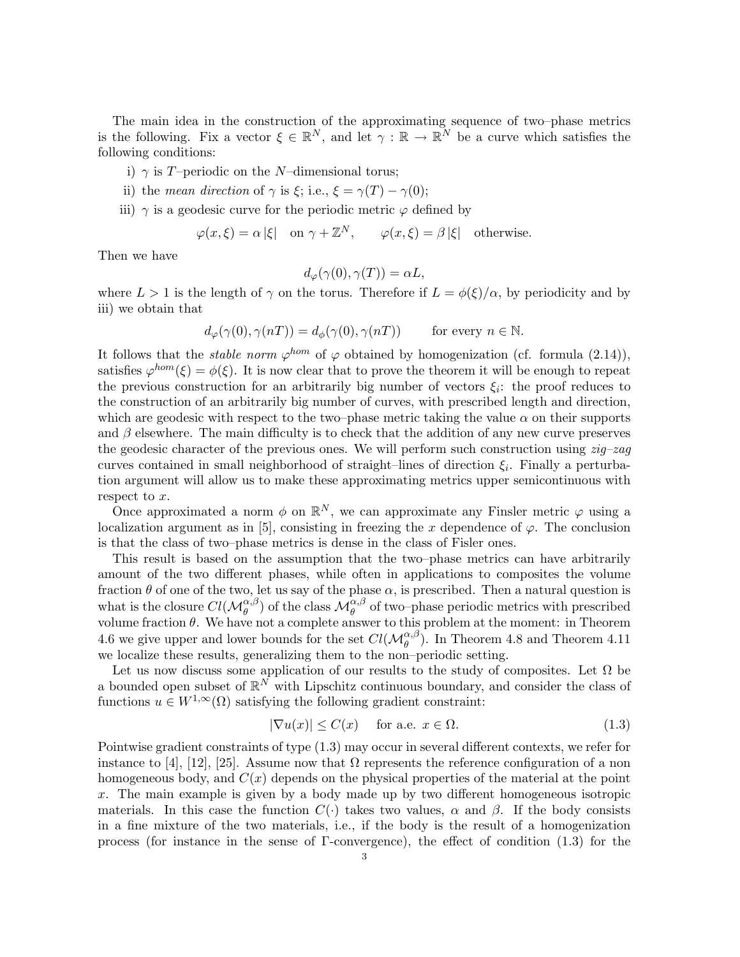The main idea in the construction of the approximating sequence of two–phase metrics is the following. Fix a vector  $\xi \in \mathbb{R}^N$ , and let  $\gamma : \mathbb{R} \to \mathbb{R}^N$  be a curve which satisfies the following conditions:

- i)  $\gamma$  is T–periodic on the N–dimensional torus;
- ii) the mean direction of  $\gamma$  is  $\xi$ ; i.e.,  $\xi = \gamma(T) \gamma(0)$ ;
- iii)  $\gamma$  is a geodesic curve for the periodic metric  $\varphi$  defined by

 $\varphi(x,\xi) = \alpha |\xi|$  on  $\gamma + \mathbb{Z}^N$ ,  $\varphi(x,\xi) = \beta |\xi|$  otherwise.

Then we have

$$
d_{\varphi}(\gamma(0), \gamma(T)) = \alpha L,
$$

where  $L > 1$  is the length of  $\gamma$  on the torus. Therefore if  $L = \phi(\xi)/\alpha$ , by periodicity and by iii) we obtain that

$$
d_{\varphi}(\gamma(0), \gamma(nT)) = d_{\phi}(\gamma(0), \gamma(nT)) \quad \text{for every } n \in \mathbb{N}.
$$

It follows that the *stable norm*  $\varphi^{hom}$  of  $\varphi$  obtained by homogenization (cf. formula (2.14)), satisfies  $\varphi^{hom}(\xi) = \varphi(\xi)$ . It is now clear that to prove the theorem it will be enough to repeat the previous construction for an arbitrarily big number of vectors  $\xi_i$ : the proof reduces to the construction of an arbitrarily big number of curves, with prescribed length and direction, which are geodesic with respect to the two–phase metric taking the value  $\alpha$  on their supports and  $\beta$  elsewhere. The main difficulty is to check that the addition of any new curve preserves the geodesic character of the previous ones. We will perform such construction using  $zig-zag$ curves contained in small neighborhood of straight-lines of direction  $\xi_i$ . Finally a perturbation argument will allow us to make these approximating metrics upper semicontinuous with respect to x.

Once approximated a norm  $\phi$  on  $\mathbb{R}^N$ , we can approximate any Finsler metric  $\varphi$  using a localization argument as in [5], consisting in freezing the x dependence of  $\varphi$ . The conclusion is that the class of two–phase metrics is dense in the class of Fisler ones.

This result is based on the assumption that the two–phase metrics can have arbitrarily amount of the two different phases, while often in applications to composites the volume fraction  $\theta$  of one of the two, let us say of the phase  $\alpha$ , is prescribed. Then a natural question is what is the closure  $Cl(M_{\theta}^{\alpha,\beta})$  of the class  $M_{\theta}^{\alpha,\beta}$  of two–phase periodic metrics with prescribed volume fraction  $\theta$ . We have not a complete answer to this problem at the moment: in Theorem 4.6 we give upper and lower bounds for the set  $Cl(\mathcal{M}_{\theta}^{\alpha,\beta})$ . In Theorem 4.8 and Theorem 4.11 we localize these results, generalizing them to the non–periodic setting.

Let us now discuss some application of our results to the study of composites. Let  $\Omega$  be a bounded open subset of  $\mathbb{R}^N$  with Lipschitz continuous boundary, and consider the class of functions  $u \in W^{1,\infty}(\Omega)$  satisfying the following gradient constraint:

$$
|\nabla u(x)| \le C(x) \quad \text{for a.e. } x \in \Omega.
$$
 (1.3)

Pointwise gradient constraints of type (1.3) may occur in several different contexts, we refer for instance to [4], [12], [25]. Assume now that  $\Omega$  represents the reference configuration of a non homogeneous body, and  $C(x)$  depends on the physical properties of the material at the point x. The main example is given by a body made up by two different homogeneous isotropic materials. In this case the function  $C(\cdot)$  takes two values,  $\alpha$  and  $\beta$ . If the body consists in a fine mixture of the two materials, i.e., if the body is the result of a homogenization process (for instance in the sense of  $\Gamma$ -convergence), the effect of condition (1.3) for the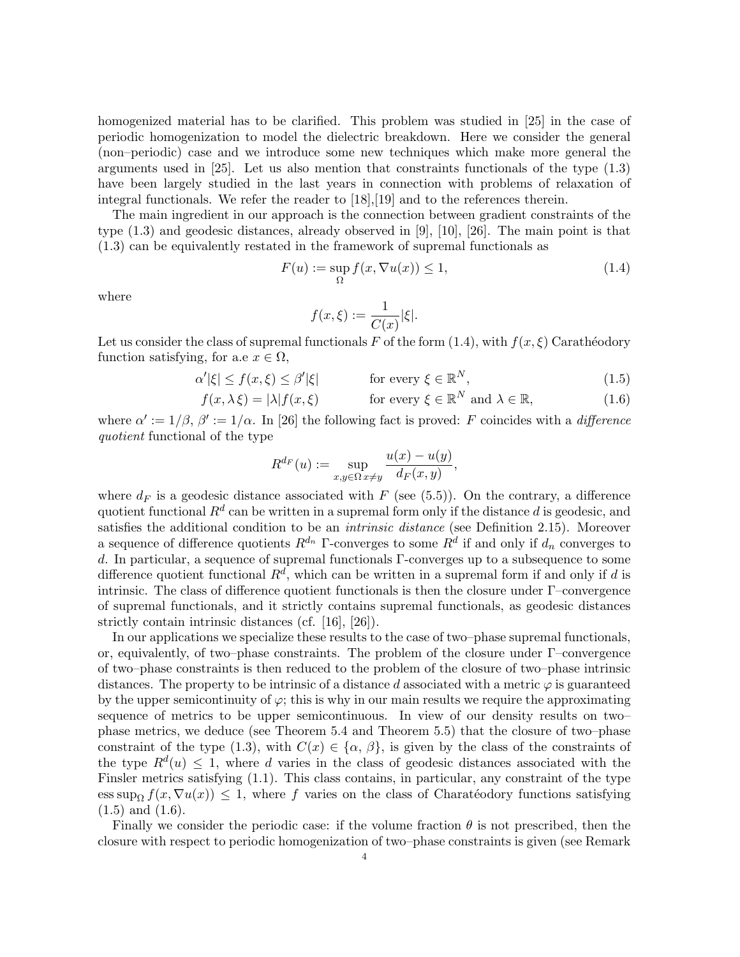homogenized material has to be clarified. This problem was studied in [25] in the case of periodic homogenization to model the dielectric breakdown. Here we consider the general (non–periodic) case and we introduce some new techniques which make more general the arguments used in [25]. Let us also mention that constraints functionals of the type (1.3) have been largely studied in the last years in connection with problems of relaxation of integral functionals. We refer the reader to [18],[19] and to the references therein.

The main ingredient in our approach is the connection between gradient constraints of the type (1.3) and geodesic distances, already observed in [9], [10], [26]. The main point is that (1.3) can be equivalently restated in the framework of supremal functionals as

$$
F(u) := \sup_{\Omega} f(x, \nabla u(x)) \le 1,
$$
\n(1.4)

where

$$
f(x,\xi):=\frac{1}{C(x)}|\xi|.
$$

Let us consider the class of supremal functionals F of the form (1.4), with  $f(x,\xi)$  Carathéodory function satisfying, for a.e  $x \in \Omega$ ,

$$
\alpha'|\xi| \le f(x,\xi) \le \beta'|\xi| \qquad \text{for every } \xi \in \mathbb{R}^N, \tag{1.5}
$$

$$
f(x, \lambda \xi) = |\lambda| f(x, \xi) \qquad \text{for every } \xi \in \mathbb{R}^N \text{ and } \lambda \in \mathbb{R}, \tag{1.6}
$$

where  $\alpha' := 1/\beta$ ,  $\beta' := 1/\alpha$ . In [26] the following fact is proved: F coincides with a difference quotient functional of the type

$$
R^{d_F}(u) := \sup_{x,y \in \Omega} \frac{u(x) - u(y)}{d_F(x,y)},
$$

where  $d_F$  is a geodesic distance associated with F (see (5.5)). On the contrary, a difference quotient functional  $R^d$  can be written in a supremal form only if the distance  $d$  is geodesic, and satisfies the additional condition to be an intrinsic distance (see Definition 2.15). Moreover a sequence of difference quotients  $R^{d_n}$  Γ-converges to some  $R^d$  if and only if  $d_n$  converges to d. In particular, a sequence of supremal functionals Γ-converges up to a subsequence to some difference quotient functional  $R^d$ , which can be written in a supremal form if and only if d is intrinsic. The class of difference quotient functionals is then the closure under  $\Gamma$ –convergence of supremal functionals, and it strictly contains supremal functionals, as geodesic distances strictly contain intrinsic distances (cf. [16], [26]).

In our applications we specialize these results to the case of two–phase supremal functionals, or, equivalently, of two–phase constraints. The problem of the closure under  $\Gamma$ –convergence of two–phase constraints is then reduced to the problem of the closure of two–phase intrinsic distances. The property to be intrinsic of a distance d associated with a metric  $\varphi$  is guaranteed by the upper semicontinuity of  $\varphi$ ; this is why in our main results we require the approximating sequence of metrics to be upper semicontinuous. In view of our density results on two– phase metrics, we deduce (see Theorem 5.4 and Theorem 5.5) that the closure of two–phase constraint of the type (1.3), with  $C(x) \in {\alpha, \beta}$ , is given by the class of the constraints of the type  $R^{d}(u) \leq 1$ , where d varies in the class of geodesic distances associated with the Finsler metrics satisfying (1.1). This class contains, in particular, any constraint of the type ess sup<sub> $\Omega$ </sub>  $f(x, \nabla u(x)) \leq 1$ , where f varies on the class of Charatéodory functions satisfying  $(1.5)$  and  $(1.6)$ .

Finally we consider the periodic case: if the volume fraction  $\theta$  is not prescribed, then the closure with respect to periodic homogenization of two–phase constraints is given (see Remark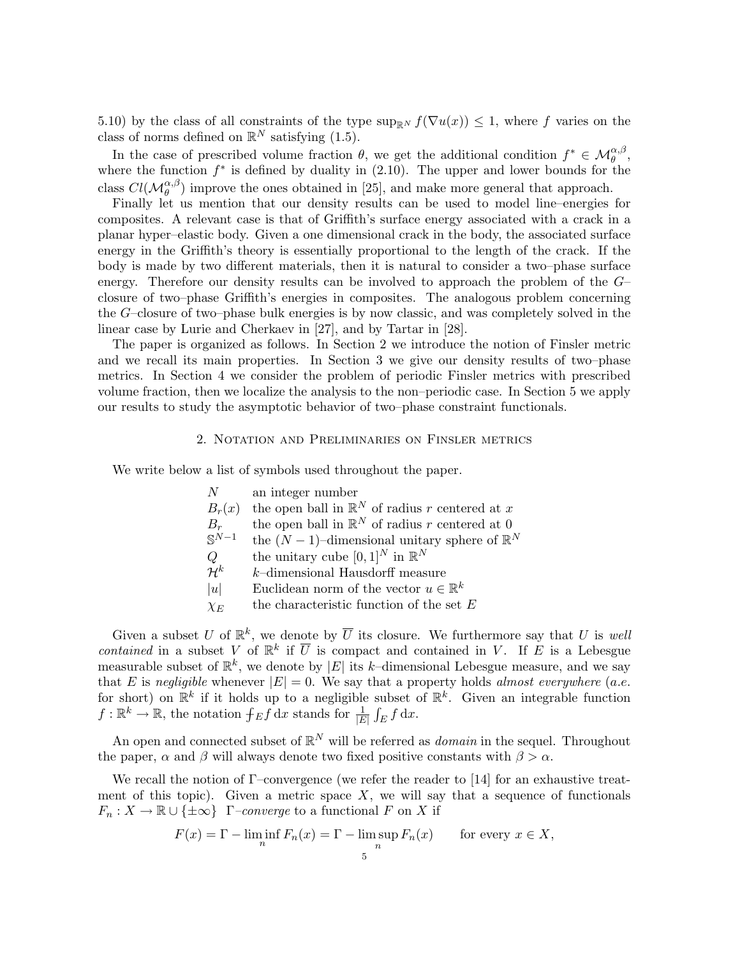5.10) by the class of all constraints of the type sup<sub>RN</sub>  $f(\nabla u(x)) \leq 1$ , where f varies on the class of norms defined on  $\mathbb{R}^N$  satisfying  $(1.5)$ .

In the case of prescribed volume fraction  $\theta$ , we get the additional condition  $f^* \in \mathcal{M}_{\theta}^{\alpha,\beta}$ , where the function  $f^*$  is defined by duality in (2.10). The upper and lower bounds for the class  $Cl(M_{\theta}^{\alpha,\beta})$  improve the ones obtained in [25], and make more general that approach.

Finally let us mention that our density results can be used to model line–energies for composites. A relevant case is that of Griffith's surface energy associated with a crack in a planar hyper–elastic body. Given a one dimensional crack in the body, the associated surface energy in the Griffith's theory is essentially proportional to the length of the crack. If the body is made by two different materials, then it is natural to consider a two–phase surface energy. Therefore our density results can be involved to approach the problem of the G– closure of two–phase Griffith's energies in composites. The analogous problem concerning the G–closure of two–phase bulk energies is by now classic, and was completely solved in the linear case by Lurie and Cherkaev in [27], and by Tartar in [28].

The paper is organized as follows. In Section 2 we introduce the notion of Finsler metric and we recall its main properties. In Section 3 we give our density results of two–phase metrics. In Section 4 we consider the problem of periodic Finsler metrics with prescribed volume fraction, then we localize the analysis to the non–periodic case. In Section 5 we apply our results to study the asymptotic behavior of two–phase constraint functionals.

### 2. Notation and Preliminaries on Finsler metrics

We write below a list of symbols used throughout the paper.

| N               | an integer number                                         |
|-----------------|-----------------------------------------------------------|
| $B_r(x)$        | the open ball in $\mathbb{R}^N$ of radius r centered at x |
| $B_r$           | the open ball in $\mathbb{R}^N$ of radius r centered at 0 |
| $S^{N-1}$       | the $(N-1)$ -dimensional unitary sphere of $\mathbb{R}^N$ |
| Q               | the unitary cube $[0,1]^N$ in $\mathbb{R}^N$              |
| $\mathcal{H}^k$ | $k$ -dimensional Hausdorff measure                        |
| u               | Euclidean norm of the vector $u \in \mathbb{R}^k$         |
| $\chi_E$        | the characteristic function of the set $E$                |
|                 |                                                           |

Given a subset U of  $\mathbb{R}^k$ , we denote by  $\overline{U}$  its closure. We furthermore say that U is well contained in a subset V of  $\mathbb{R}^k$  if  $\overline{U}$  is compact and contained in V. If E is a Lebesgue measurable subset of  $\mathbb{R}^k$ , we denote by |E| its k-dimensional Lebesgue measure, and we say that E is negligible whenever  $|E| = 0$ . We say that a property holds almost everywhere (a.e. for short) on  $\mathbb{R}^k$  if it holds up to a negligible subset of  $\mathbb{R}^k$ . Given an integrable function  $f: \mathbb{R}^k \to \mathbb{R}$ , the notation  $\int_E f \, dx$  stands for  $\frac{1}{|E|} \int_E f \, dx$ .

An open and connected subset of  $\mathbb{R}^N$  will be referred as *domain* in the sequel. Throughout the paper,  $\alpha$  and  $\beta$  will always denote two fixed positive constants with  $\beta > \alpha$ .

We recall the notion of Γ–convergence (we refer the reader to [14] for an exhaustive treatment of this topic). Given a metric space  $X$ , we will say that a sequence of functionals  $F_n: X \to \mathbb{R} \cup \{\pm \infty\}$  Γ–converge to a functional F on X if

$$
F(x) = \Gamma - \liminf_{n} F_n(x) = \Gamma - \limsup_{n} F_n(x) \qquad \text{for every } x \in X,
$$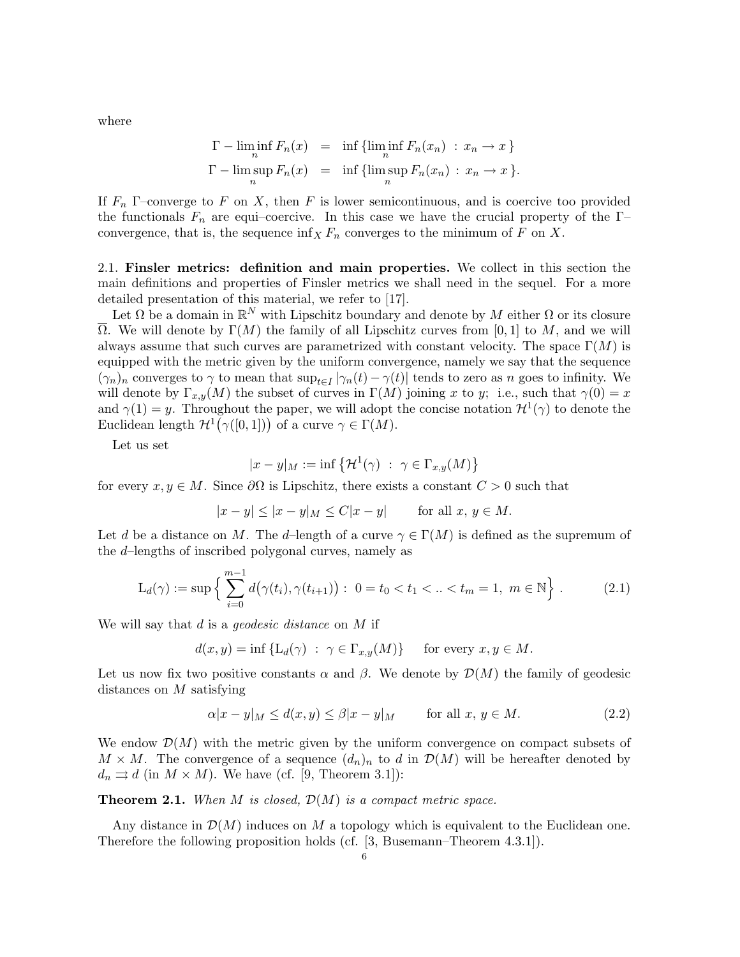where

$$
\Gamma - \liminf_{n} F_n(x) = \inf \{ \liminf_{n} F_n(x_n) : x_n \to x \}
$$
  

$$
\Gamma - \limsup_{n} F_n(x) = \inf \{ \limsup_{n} F_n(x_n) : x_n \to x \}.
$$

If  $F_n$  Γ-converge to F on X, then F is lower semicontinuous, and is coercive too provided the functionals  $F_n$  are equi–coercive. In this case we have the crucial property of the Γ– convergence, that is, the sequence  $\inf_X F_n$  converges to the minimum of F on X.

2.1. Finsler metrics: definition and main properties. We collect in this section the main definitions and properties of Finsler metrics we shall need in the sequel. For a more detailed presentation of this material, we refer to [17].

Let  $\Omega$  be a domain in  $\mathbb{R}^N$  with Lipschitz boundary and denote by M either  $\Omega$  or its closure  $\overline{\Omega}$ . We will denote by  $\Gamma(M)$  the family of all Lipschitz curves from [0, 1] to M, and we will always assume that such curves are parametrized with constant velocity. The space  $\Gamma(M)$  is equipped with the metric given by the uniform convergence, namely we say that the sequence  $(\gamma_n)_n$  converges to  $\gamma$  to mean that  $\sup_{t\in I} |\gamma_n(t) - \gamma(t)|$  tends to zero as n goes to infinity. We will denote by  $\Gamma_{x,y}(M)$  the subset of curves in  $\Gamma(M)$  joining x to y; i.e., such that  $\gamma(0) = x$ and  $\gamma(1) = y$ . Throughout the paper, we will adopt the concise notation  $\mathcal{H}^1(\gamma)$  to denote the Euclidean length  $\mathcal{H}^1(\gamma([0,1]))$  of a curve  $\gamma \in \Gamma(M)$ .

Let us set

$$
|x - y|_M := \inf \left\{ \mathcal{H}^1(\gamma) \ : \ \gamma \in \Gamma_{x,y}(M) \right\}
$$

for every  $x, y \in M$ . Since  $\partial \Omega$  is Lipschitz, there exists a constant  $C > 0$  such that

$$
|x - y| \le |x - y|_M \le C|x - y| \quad \text{for all } x, y \in M.
$$

Let d be a distance on M. The d–length of a curve  $\gamma \in \Gamma(M)$  is defined as the supremum of the d–lengths of inscribed polygonal curves, namely as

$$
L_d(\gamma) := \sup \left\{ \sum_{i=0}^{m-1} d(\gamma(t_i), \gamma(t_{i+1})) : 0 = t_0 < t_1 < ... < t_m = 1, m \in \mathbb{N} \right\}.
$$
 (2.1)

We will say that  $d$  is a *geodesic distance* on  $M$  if

$$
d(x, y) = \inf \{ L_d(\gamma) : \ \gamma \in \Gamma_{x, y}(M) \} \quad \text{ for every } x, y \in M.
$$

Let us now fix two positive constants  $\alpha$  and  $\beta$ . We denote by  $\mathcal{D}(M)$  the family of geodesic distances on M satisfying

$$
\alpha |x - y|_M \le d(x, y) \le \beta |x - y|_M \quad \text{for all } x, y \in M. \tag{2.2}
$$

We endow  $\mathcal{D}(M)$  with the metric given by the uniform convergence on compact subsets of  $M \times M$ . The convergence of a sequence  $(d_n)_n$  to d in  $\mathcal{D}(M)$  will be hereafter denoted by  $d_n \rightrightarrows d$  (in  $M \times M$ ). We have (cf. [9, Theorem 3.1]):

**Theorem 2.1.** When M is closed,  $\mathcal{D}(M)$  is a compact metric space.

Any distance in  $\mathcal{D}(M)$  induces on M a topology which is equivalent to the Euclidean one. Therefore the following proposition holds (cf. [3, Busemann–Theorem 4.3.1]).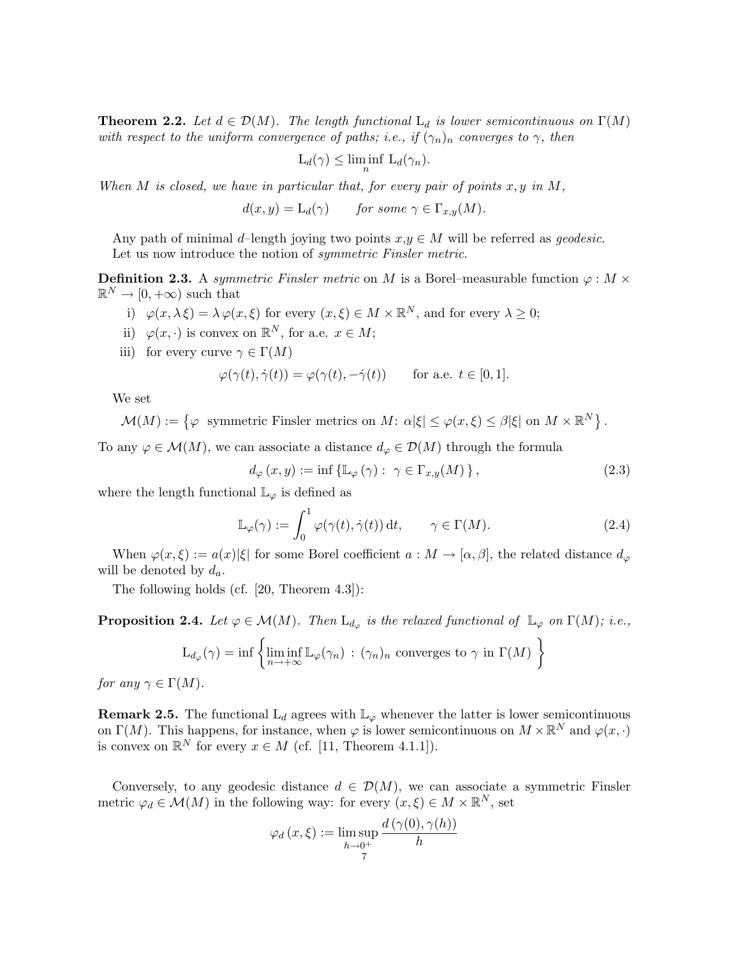**Theorem 2.2.** Let  $d \in \mathcal{D}(M)$ . The length functional  $L_d$  is lower semicontinuous on  $\Gamma(M)$ with respect to the uniform convergence of paths; i.e., if  $(\gamma_n)_n$  converges to  $\gamma$ , then

$$
L_d(\gamma) \le \liminf_n L_d(\gamma_n).
$$

When M is closed, we have in particular that, for every pair of points  $x, y$  in M,

 $d(x, y) = L_d(\gamma)$  for some  $\gamma \in \Gamma_{x,y}(M)$ .

Any path of minimal d–length joying two points  $x,y \in M$  will be referred as *geodesic*. Let us now introduce the notion of *symmetric Finsler metric*.

**Definition 2.3.** A symmetric Finsler metric on M is a Borel–measurable function  $\varphi : M \times$  $\mathbb{R}^N \to [0, +\infty)$  such that

- i)  $\varphi(x, \lambda \xi) = \lambda \varphi(x, \xi)$  for every  $(x, \xi) \in M \times \mathbb{R}^N$ , and for every  $\lambda \geq 0$ ;
- ii)  $\varphi(x, \cdot)$  is convex on  $\mathbb{R}^N$ , for a.e.  $x \in M$ ;
- iii) for every curve  $\gamma \in \Gamma(M)$

$$
\varphi(\gamma(t), \dot{\gamma}(t)) = \varphi(\gamma(t), -\dot{\gamma}(t)) \quad \text{for a.e. } t \in [0, 1].
$$

We set

 $\mathcal{M}(M) := \{ \varphi \text{ symmetric Finsler metrics on } M \colon \alpha | \xi \leq \varphi(x, \xi) \leq \beta | \xi \text{ on } M \times \mathbb{R}^{N} \}.$ 

To any  $\varphi \in \mathcal{M}(M)$ , we can associate a distance  $d_{\varphi} \in \mathcal{D}(M)$  through the formula

$$
d_{\varphi}(x, y) := \inf \{ \mathbb{L}_{\varphi}(\gamma) : \ \gamma \in \Gamma_{x, y}(M) \}, \tag{2.3}
$$

where the length functional  $\mathbb{L}_{\varphi}$  is defined as

$$
\mathbb{L}_{\varphi}(\gamma) := \int_0^1 \varphi(\gamma(t), \dot{\gamma}(t)) dt, \qquad \gamma \in \Gamma(M). \tag{2.4}
$$

When  $\varphi(x,\xi) := a(x)|\xi|$  for some Borel coefficient  $a : M \to [\alpha,\beta]$ , the related distance  $d_{\varphi}$ will be denoted by  $d_a$ .

The following holds (cf. [20, Theorem 4.3]):

**Proposition 2.4.** Let  $\varphi \in \mathcal{M}(M)$ . Then  $\mathcal{L}_{d_{\varphi}}$  is the relaxed functional of  $\mathbb{L}_{\varphi}$  on  $\Gamma(M)$ ; i.e.,

$$
L_{d_{\varphi}}(\gamma) = \inf \left\{ \liminf_{n \to +\infty} \mathbb{L}_{\varphi}(\gamma_n) : (\gamma_n)_n \text{ converges to } \gamma \text{ in } \Gamma(M) \right\}
$$

for any  $\gamma \in \Gamma(M)$ .

**Remark 2.5.** The functional  $L_d$  agrees with  $\mathbb{L}_{\varphi}$  whenever the latter is lower semicontinuous on  $\Gamma(M)$ . This happens, for instance, when  $\varphi$  is lower semicontinuous on  $M \times \mathbb{R}^N$  and  $\varphi(x, \cdot)$ is convex on  $\mathbb{R}^N$  for every  $x \in M$  (cf. [11, Theorem 4.1.1]).

Conversely, to any geodesic distance  $d \in \mathcal{D}(M)$ , we can associate a symmetric Finsler metric  $\varphi_d \in \mathcal{M}(M)$  in the following way: for every  $(x, \xi) \in M \times \mathbb{R}^N$ , set

 $\overline{d}$  (γ), γ(h))

$$
\varphi_d(x,\xi) := \limsup_{h \to 0^+} \frac{d(\gamma(0), \gamma(h))}{h}
$$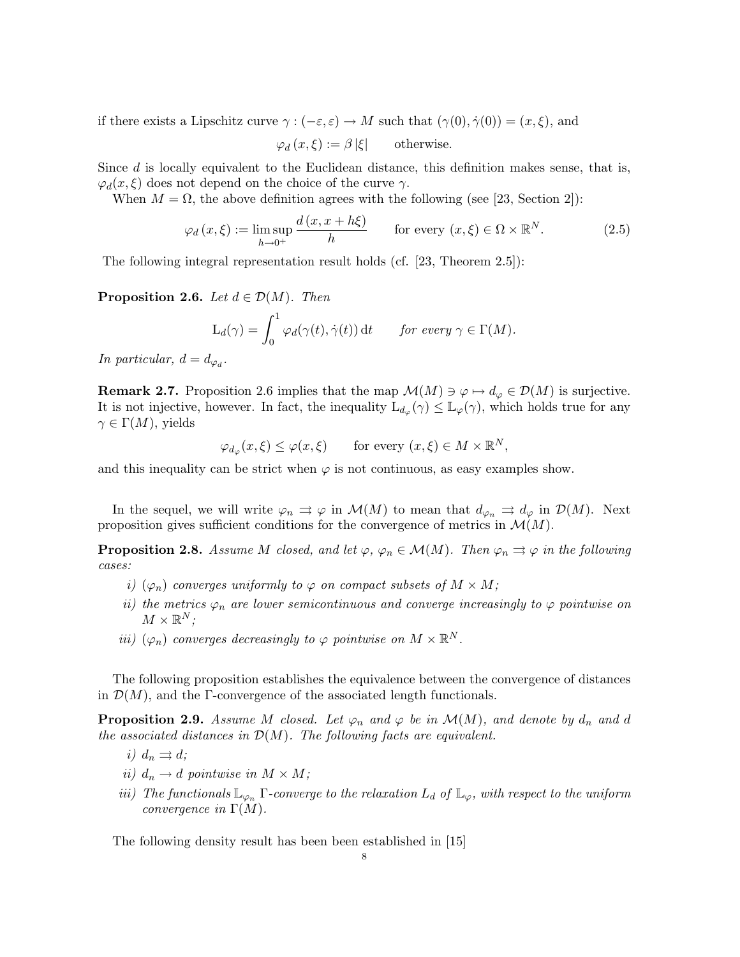if there exists a Lipschitz curve  $\gamma : (-\varepsilon, \varepsilon) \to M$  such that  $(\gamma(0), \dot{\gamma}(0)) = (x, \xi)$ , and

 $\varphi_d (x, \xi) := \beta |\xi|$  otherwise.

Since  $d$  is locally equivalent to the Euclidean distance, this definition makes sense, that is,  $\varphi_d(x,\xi)$  does not depend on the choice of the curve  $\gamma$ .

When  $M = \Omega$ , the above definition agrees with the following (see [23, Section 2]):

$$
\varphi_d(x,\xi) := \limsup_{h \to 0^+} \frac{d(x,x+h\xi)}{h} \qquad \text{for every } (x,\xi) \in \Omega \times \mathbb{R}^N. \tag{2.5}
$$

The following integral representation result holds (cf. [23, Theorem 2.5]):

**Proposition 2.6.** Let  $d \in \mathcal{D}(M)$ . Then

$$
L_d(\gamma) = \int_0^1 \varphi_d(\gamma(t), \dot{\gamma}(t)) dt \quad \text{for every } \gamma \in \Gamma(M).
$$

In particular,  $d = d_{\varphi_d}$ .

**Remark 2.7.** Proposition 2.6 implies that the map  $\mathcal{M}(M) \ni \varphi \mapsto d_{\varphi} \in \mathcal{D}(M)$  is surjective. It is not injective, however. In fact, the inequality  $\mathcal{L}_{d_{\varphi}}(\gamma) \leq \mathbb{L}_{\varphi}(\gamma)$ , which holds true for any  $\gamma \in \Gamma(M)$ , yields

 $\varphi_{d_{\varphi}}(x,\xi) \leq \varphi(x,\xi) \quad \text{for every } (x,\xi) \in M \times \mathbb{R}^N,$ 

and this inequality can be strict when  $\varphi$  is not continuous, as easy examples show.

In the sequel, we will write  $\varphi_n \rightrightarrows \varphi$  in  $\mathcal{M}(M)$  to mean that  $d_{\varphi_n} \rightrightarrows d_{\varphi}$  in  $\mathcal{D}(M)$ . Next proposition gives sufficient conditions for the convergence of metrics in  $\mathcal{M}(M)$ .

**Proposition 2.8.** Assume M closed, and let  $\varphi$ ,  $\varphi_n \in \mathcal{M}(M)$ . Then  $\varphi_n \rightrightarrows \varphi$  in the following cases:

- i)  $(\varphi_n)$  converges uniformly to  $\varphi$  on compact subsets of  $M \times M$ ;
- ii) the metrics  $\varphi_n$  are lower semicontinuous and converge increasingly to  $\varphi$  pointwise on  $M \times \mathbb{R}^N;$
- iii)  $(\varphi_n)$  converges decreasingly to  $\varphi$  pointwise on  $M \times \mathbb{R}^N$ .

The following proposition establishes the equivalence between the convergence of distances in  $\mathcal{D}(M)$ , and the Γ-convergence of the associated length functionals.

**Proposition 2.9.** Assume M closed. Let  $\varphi_n$  and  $\varphi$  be in  $\mathcal{M}(M)$ , and denote by  $d_n$  and d the associated distances in  $\mathcal{D}(M)$ . The following facts are equivalent.

- i)  $d_n \rightrightarrows d;$
- ii)  $d_n \to d$  pointwise in  $M \times M$ ;
- iii) The functionals  $\mathbb{L}_{\varphi_n}$  Γ-converge to the relaxation  $L_d$  of  $\mathbb{L}_{\varphi}$ , with respect to the uniform convergence in  $\Gamma(M)$ .

The following density result has been been established in [15]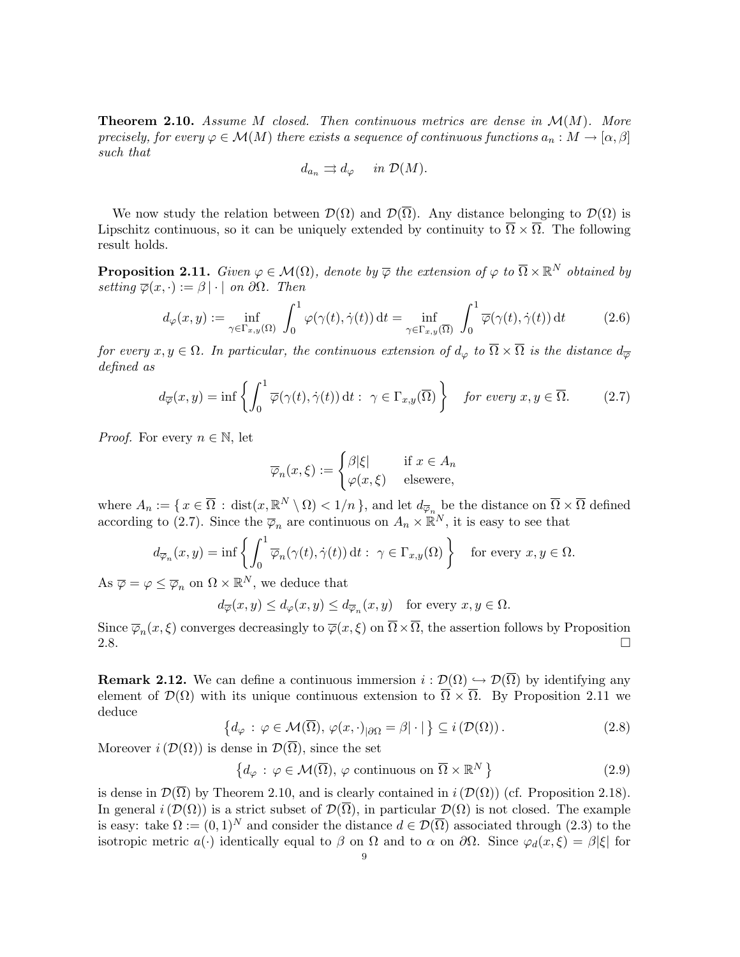**Theorem 2.10.** Assume M closed. Then continuous metrics are dense in  $\mathcal{M}(M)$ . More precisely, for every  $\varphi \in \mathcal{M}(M)$  there exists a sequence of continuous functions  $a_n : M \to [\alpha, \beta]$ such that

$$
d_{a_n} \rightrightarrows d_\varphi \quad in \mathcal{D}(M).
$$

We now study the relation between  $\mathcal{D}(\Omega)$  and  $\mathcal{D}(\overline{\Omega})$ . Any distance belonging to  $\mathcal{D}(\Omega)$  is Lipschitz continuous, so it can be uniquely extended by continuity to  $\overline{\Omega} \times \overline{\Omega}$ . The following result holds.

**Proposition 2.11.** Given  $\varphi \in \mathcal{M}(\Omega)$ , denote by  $\overline{\varphi}$  the extension of  $\varphi$  to  $\overline{\Omega} \times \mathbb{R}^N$  obtained by setting  $\overline{\varphi}(x, \cdot) := \beta | \cdot |$  on  $\partial \Omega$ . Then

$$
d_{\varphi}(x,y) := \inf_{\gamma \in \Gamma_{x,y}(\Omega)} \int_0^1 \varphi(\gamma(t), \dot{\gamma}(t)) dt = \inf_{\gamma \in \Gamma_{x,y}(\overline{\Omega})} \int_0^1 \overline{\varphi}(\gamma(t), \dot{\gamma}(t)) dt \qquad (2.6)
$$

for every  $x, y \in \Omega$ . In particular, the continuous extension of  $d_{\varphi}$  to  $\overline{\Omega} \times \overline{\Omega}$  is the distance  $d_{\overline{\varphi}}$ defined as

$$
d_{\overline{\varphi}}(x,y) = \inf \left\{ \int_0^1 \overline{\varphi}(\gamma(t), \dot{\gamma}(t)) dt : \ \gamma \in \Gamma_{x,y}(\overline{\Omega}) \right\} \quad \text{for every } x, y \in \overline{\Omega}. \tag{2.7}
$$

*Proof.* For every  $n \in \mathbb{N}$ , let

$$
\overline{\varphi}_n(x,\xi) := \begin{cases} \beta|\xi| & \text{if } x \in A_n \\ \varphi(x,\xi) & \text{elsewere,} \end{cases}
$$

where  $A_n := \{ x \in \overline{\Omega} : \text{dist}(x, \mathbb{R}^N \setminus \Omega) < 1/n \}$ , and let  $d_{\overline{\varphi}_n}$  be the distance on  $\overline{\Omega} \times \overline{\Omega}$  defined according to (2.7). Since the  $\overline{\varphi}_n$  are continuous on  $A_n \times \mathbb{R}^N$ , it is easy to see that

$$
d_{\overline{\varphi}_n}(x,y) = \inf \left\{ \int_0^1 \overline{\varphi}_n(\gamma(t), \dot{\gamma}(t)) dt : \ \gamma \in \Gamma_{x,y}(\Omega) \right\} \quad \text{for every } x, y \in \Omega.
$$

As  $\overline{\varphi} = \varphi \leq \overline{\varphi}_n$  on  $\Omega \times \mathbb{R}^N$ , we deduce that

$$
d_{\overline{\varphi}}(x, y) \le d_{\varphi}(x, y) \le d_{\overline{\varphi}_n}(x, y)
$$
 for every  $x, y \in \Omega$ .

Since  $\overline{\varphi}_n(x,\xi)$  converges decreasingly to  $\overline{\varphi}(x,\xi)$  on  $\Omega \times \Omega$ , the assertion follows by Proposition 2.8.  $\Box$ 

**Remark 2.12.** We can define a continuous immersion  $i : \mathcal{D}(\Omega) \hookrightarrow \mathcal{D}(\overline{\Omega})$  by identifying any element of  $\mathcal{D}(\Omega)$  with its unique continuous extension to  $\overline{\Omega} \times \overline{\Omega}$ . By Proposition 2.11 we deduce

$$
\left\{ d_{\varphi} \,:\, \varphi \in \mathcal{M}(\overline{\Omega}), \,\varphi(x,\cdot)_{|\partial\Omega} = \beta |\cdot| \right\} \subseteq i\left(\mathcal{D}(\Omega)\right). \tag{2.8}
$$

Moreover  $i(\mathcal{D}(\Omega))$  is dense in  $\mathcal{D}(\overline{\Omega})$ , since the set

$$
\left\{ d_{\varphi} \, : \, \varphi \in \mathcal{M}(\overline{\Omega}), \, \varphi \text{ continuous on } \overline{\Omega} \times \mathbb{R}^N \right\}
$$
\n
$$
(2.9)
$$

is dense in  $\mathcal{D}(\overline{\Omega})$  by Theorem 2.10, and is clearly contained in  $i(\mathcal{D}(\Omega))$  (cf. Proposition 2.18). In general  $i(\mathcal{D}(\Omega))$  is a strict subset of  $\mathcal{D}(\overline{\Omega})$ , in particular  $\mathcal{D}(\Omega)$  is not closed. The example is easy: take  $\Omega := (0,1)^N$  and consider the distance  $d \in \mathcal{D}(\overline{\Omega})$  associated through (2.3) to the isotropic metric  $a(\cdot)$  identically equal to  $\beta$  on  $\Omega$  and to  $\alpha$  on  $\partial\Omega$ . Since  $\varphi_d(x,\xi) = \beta|\xi|$  for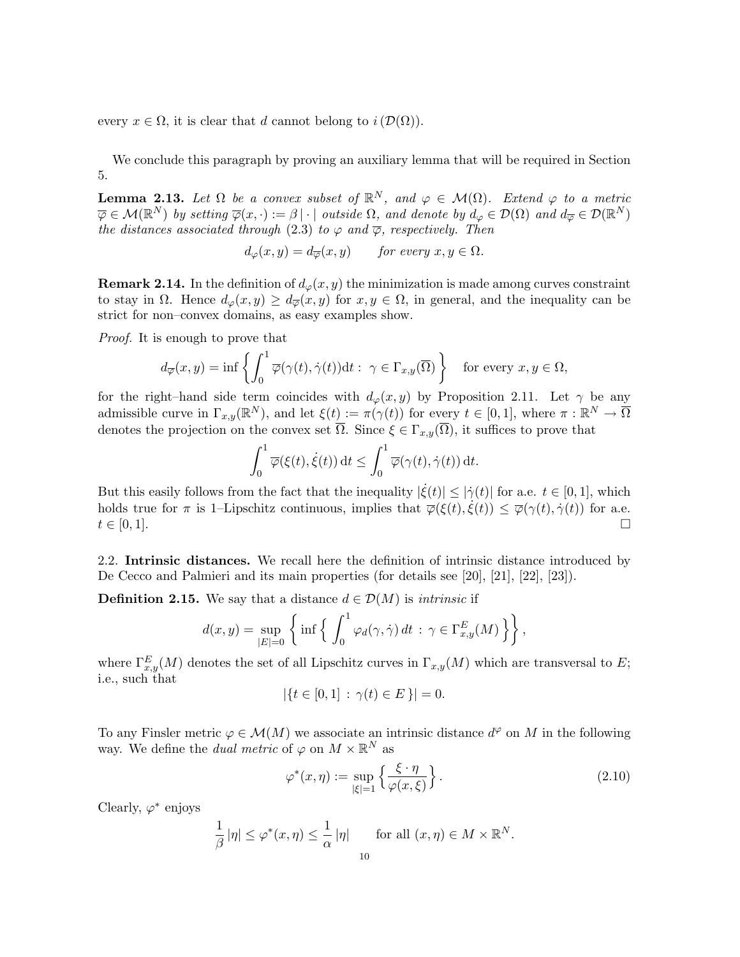every  $x \in \Omega$ , it is clear that d cannot belong to  $i(\mathcal{D}(\Omega))$ .

We conclude this paragraph by proving an auxiliary lemma that will be required in Section 5.

**Lemma 2.13.** Let  $\Omega$  be a convex subset of  $\mathbb{R}^N$ , and  $\varphi \in \mathcal{M}(\Omega)$ . Extend  $\varphi$  to a metric  $\overline{\varphi} \in \mathcal{M}(\mathbb{R}^N)$  by setting  $\overline{\varphi}(x, \cdot) := \beta | \cdot |$  outside  $\Omega$ , and denote by  $d_{\varphi} \in \mathcal{D}(\Omega)$  and  $d_{\overline{\varphi}} \in \mathcal{D}(\mathbb{R}^N)$ the distances associated through (2.3) to  $\varphi$  and  $\overline{\varphi}$ , respectively. Then

$$
d_{\varphi}(x, y) = d_{\overline{\varphi}}(x, y) \quad \text{for every } x, y \in \Omega.
$$

**Remark 2.14.** In the definition of  $d_{\varphi}(x, y)$  the minimization is made among curves constraint to stay in  $\Omega$ . Hence  $d_{\varphi}(x, y) \geq d_{\overline{\varphi}}(x, y)$  for  $x, y \in \Omega$ , in general, and the inequality can be strict for non–convex domains, as easy examples show.

Proof. It is enough to prove that

$$
d_{\overline{\varphi}}(x,y) = \inf \left\{ \int_0^1 \overline{\varphi}(\gamma(t), \dot{\gamma}(t)) dt : \ \gamma \in \Gamma_{x,y}(\overline{\Omega}) \right\} \quad \text{for every } x, y \in \Omega,
$$

for the right–hand side term coincides with  $d_{\varphi}(x, y)$  by Proposition 2.11. Let  $\gamma$  be any admissible curve in  $\Gamma_{x,y}(\mathbb{R}^N)$ , and let  $\xi(t) := \pi(\gamma(t))$  for every  $t \in [0,1]$ , where  $\pi : \mathbb{R}^N \to \overline{\Omega}$ denotes the projection on the convex set  $\overline{\Omega}$ . Since  $\xi \in \Gamma_{x,y}(\overline{\Omega})$ , it suffices to prove that

$$
\int_0^1 \overline{\varphi}(\xi(t), \dot{\xi}(t)) dt \le \int_0^1 \overline{\varphi}(\gamma(t), \dot{\gamma}(t)) dt.
$$

But this easily follows from the fact that the inequality  $|\dot{\xi}(t)| \leq |\dot{\gamma}(t)|$  for a.e.  $t \in [0,1]$ , which holds true for  $\pi$  is 1–Lipschitz continuous, implies that  $\overline{\varphi}(\xi(t),\dot{\xi}(t)) \leq \overline{\varphi}(\gamma(t),\dot{\gamma}(t))$  for a.e.  $t \in [0,1].$ 

2.2. Intrinsic distances. We recall here the definition of intrinsic distance introduced by De Cecco and Palmieri and its main properties (for details see [20], [21], [22], [23]).

**Definition 2.15.** We say that a distance  $d \in \mathcal{D}(M)$  is *intrinsic* if

$$
d(x,y) = \sup_{|E|=0} \left\{ \inf \left\{ \int_0^1 \varphi_d(\gamma, \dot{\gamma}) dt \, : \, \gamma \in \Gamma_{x,y}^E(M) \right\} \right\},\
$$

where  $\Gamma_{x,y}^E(M)$  denotes the set of all Lipschitz curves in  $\Gamma_{x,y}(M)$  which are transversal to E; i.e., such that

$$
|\{t \in [0,1] : \gamma(t) \in E\}| = 0.
$$

To any Finsler metric  $\varphi \in \mathcal{M}(M)$  we associate an intrinsic distance  $d^{\varphi}$  on M in the following way. We define the *dual metric* of  $\varphi$  on  $M \times \mathbb{R}^N$  as

$$
\varphi^*(x,\eta) := \sup_{|\xi|=1} \left\{ \frac{\xi \cdot \eta}{\varphi(x,\xi)} \right\}.
$$
\n(2.10)

Clearly,  $\varphi^*$  enjoys

$$
\frac{1}{\beta} |\eta| \le \varphi^*(x, \eta) \le \frac{1}{\alpha} |\eta| \quad \text{for all } (x, \eta) \in M \times \mathbb{R}^N.
$$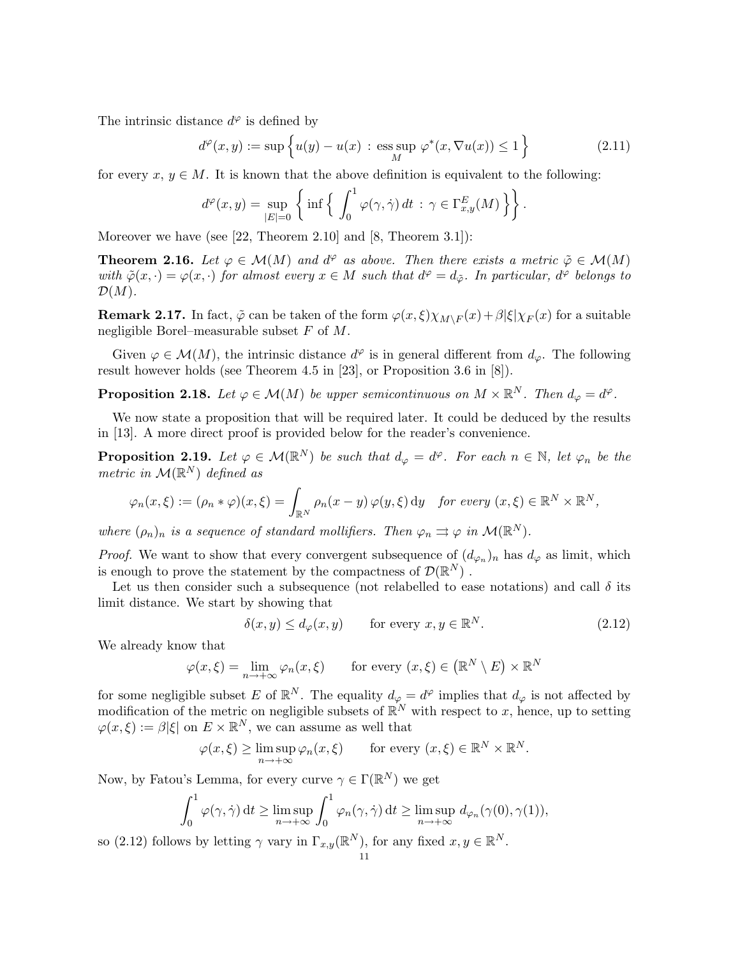The intrinsic distance  $d^{\varphi}$  is defined by

$$
d^{\varphi}(x, y) := \sup \left\{ u(y) - u(x) : \underset{M}{\text{ess sup }} \varphi^*(x, \nabla u(x)) \le 1 \right\} \tag{2.11}
$$

for every  $x, y \in M$ . It is known that the above definition is equivalent to the following:

$$
d^{\varphi}(x,y) = \sup_{|E|=0} \left\{ \inf \left\{ \int_0^1 \varphi(\gamma,\dot{\gamma}) dt \, : \, \gamma \in \Gamma_{x,y}^E(M) \right\} \right\}.
$$

Moreover we have (see [22, Theorem 2.10] and [8, Theorem 3.1]):

**Theorem 2.16.** Let  $\varphi \in \mathcal{M}(M)$  and  $d^{\varphi}$  as above. Then there exists a metric  $\tilde{\varphi} \in \mathcal{M}(M)$ with  $\tilde{\varphi}(x, \cdot) = \varphi(x, \cdot)$  for almost every  $x \in M$  such that  $d^{\varphi} = d_{\tilde{\varphi}}$ . In particular,  $d^{\varphi}$  belongs to  $\mathcal{D}(M)$ .

**Remark 2.17.** In fact,  $\tilde{\varphi}$  can be taken of the form  $\varphi(x,\xi)\chi_{M\setminus F}(x)+\beta|\xi|\chi_{F}(x)$  for a suitable negligible Borel–measurable subset  $F$  of  $M$ .

Given  $\varphi \in \mathcal{M}(M)$ , the intrinsic distance  $d^{\varphi}$  is in general different from  $d_{\varphi}$ . The following result however holds (see Theorem 4.5 in [23], or Proposition 3.6 in [8]).

**Proposition 2.18.** Let  $\varphi \in \mathcal{M}(M)$  be upper semicontinuous on  $M \times \mathbb{R}^N$ . Then  $d_{\varphi} = d^{\varphi}$ .

We now state a proposition that will be required later. It could be deduced by the results in [13]. A more direct proof is provided below for the reader's convenience.

**Proposition 2.19.** Let  $\varphi \in \mathcal{M}(\mathbb{R}^N)$  be such that  $d_{\varphi} = d^{\varphi}$ . For each  $n \in \mathbb{N}$ , let  $\varphi_n$  be the metric in  $\mathcal{M}(\mathbb{R}^N)$  defined as

$$
\varphi_n(x,\xi) := (\rho_n * \varphi)(x,\xi) = \int_{\mathbb{R}^N} \rho_n(x-y) \varphi(y,\xi) \, dy \quad \text{for every } (x,\xi) \in \mathbb{R}^N \times \mathbb{R}^N,
$$

where  $(\rho_n)_n$  is a sequence of standard mollifiers. Then  $\varphi_n \rightrightarrows \varphi$  in  $\mathcal{M}(\mathbb{R}^N)$ .

*Proof.* We want to show that every convergent subsequence of  $(d_{\varphi_n})_n$  has  $d_{\varphi}$  as limit, which is enough to prove the statement by the compactness of  $\mathcal{D}(\mathbb{R}^N)$ .

Let us then consider such a subsequence (not relabelled to ease notations) and call  $\delta$  its limit distance. We start by showing that

$$
\delta(x, y) \le d_{\varphi}(x, y) \qquad \text{for every } x, y \in \mathbb{R}^N. \tag{2.12}
$$

We already know that

 $\varphi(x,\xi) = \lim_{n \to +\infty} \varphi_n(x,\xi)$  for every  $(x,\xi) \in (\mathbb{R}^N \setminus E) \times \mathbb{R}^N$ 

for some negligible subset E of  $\mathbb{R}^N$ . The equality  $d_{\varphi} = d^{\varphi}$  implies that  $d_{\varphi}$  is not affected by modification of the metric on negligible subsets of  $\mathbb{R}^N$  with respect to x, hence, up to setting  $\varphi(x,\xi) := \beta |\xi|$  on  $E \times \mathbb{R}^N$ , we can assume as well that

$$
\varphi(x,\xi) \ge \limsup_{n \to +\infty} \varphi_n(x,\xi) \quad \text{for every } (x,\xi) \in \mathbb{R}^N \times \mathbb{R}^N.
$$

Now, by Fatou's Lemma, for every curve  $\gamma \in \Gamma(\mathbb{R}^N)$  we get

$$
\int_0^1 \varphi(\gamma, \dot{\gamma}) dt \ge \limsup_{n \to +\infty} \int_0^1 \varphi_n(\gamma, \dot{\gamma}) dt \ge \limsup_{n \to +\infty} d_{\varphi_n}(\gamma(0), \gamma(1)),
$$

so (2.12) follows by letting  $\gamma$  vary in  $\Gamma_{x,y}(\mathbb{R}^N)$ , for any fixed  $x, y \in \mathbb{R}^N$ .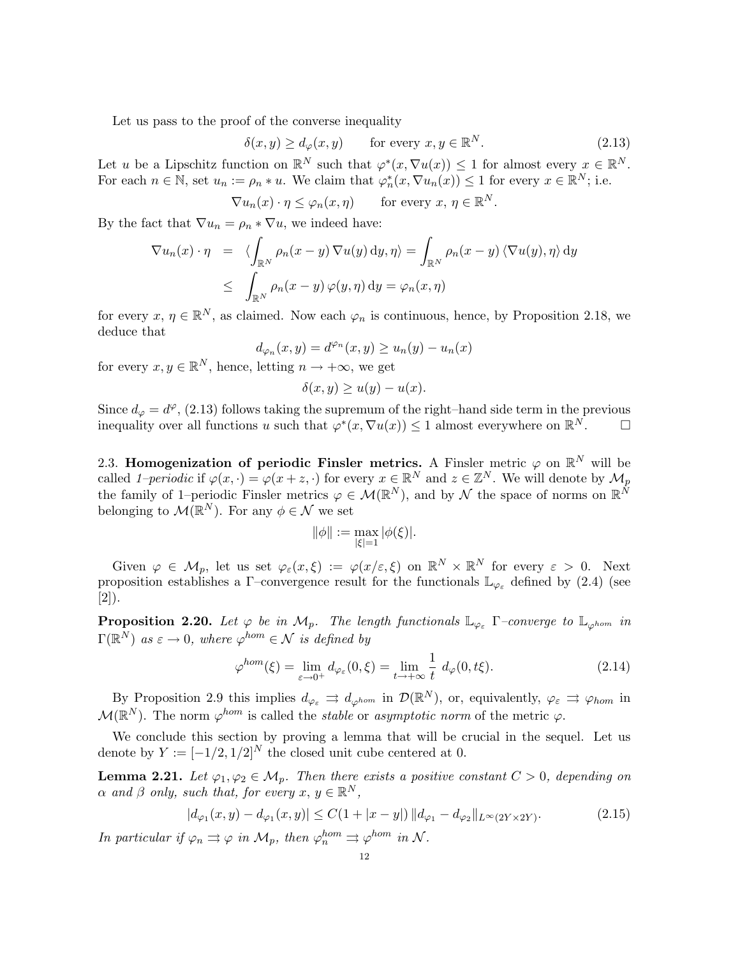Let us pass to the proof of the converse inequality

$$
\delta(x, y) \ge d_{\varphi}(x, y) \qquad \text{for every } x, y \in \mathbb{R}^N. \tag{2.13}
$$

Let u be a Lipschitz function on  $\mathbb{R}^N$  such that  $\varphi^*(x, \nabla u(x)) \leq 1$  for almost every  $x \in \mathbb{R}^N$ . For each  $n \in \mathbb{N}$ , set  $u_n := \rho_n * u$ . We claim that  $\varphi_n^*(x, \nabla u_n(x)) \leq 1$  for every  $x \in \mathbb{R}^N$ ; i.e.

$$
\nabla u_n(x) \cdot \eta \le \varphi_n(x, \eta) \quad \text{for every } x, \, \eta \in \mathbb{R}^N.
$$

By the fact that  $\nabla u_n = \rho_n * \nabla u$ , we indeed have:

$$
\nabla u_n(x) \cdot \eta = \langle \int_{\mathbb{R}^N} \rho_n(x - y) \nabla u(y) \, dy, \eta \rangle = \int_{\mathbb{R}^N} \rho_n(x - y) \langle \nabla u(y), \eta \rangle \, dy
$$
  

$$
\leq \int_{\mathbb{R}^N} \rho_n(x - y) \varphi(y, \eta) \, dy = \varphi_n(x, \eta)
$$

for every  $x, \eta \in \mathbb{R}^N$ , as claimed. Now each  $\varphi_n$  is continuous, hence, by Proposition 2.18, we deduce that

$$
d_{\varphi_n}(x,y) = d^{\varphi_n}(x,y) \ge u_n(y) - u_n(x)
$$

for every  $x, y \in \mathbb{R}^N$ , hence, letting  $n \to +\infty$ , we get

$$
\delta(x, y) \ge u(y) - u(x).
$$

Since  $d_{\varphi} = d^{\varphi}$ , (2.13) follows taking the supremum of the right–hand side term in the previous inequality over all functions u such that  $\varphi^*(x, \nabla u(x)) \leq 1$  almost everywhere on  $\mathbb{R}^N$ .

2.3. Homogenization of periodic Finsler metrics. A Finsler metric  $\varphi$  on  $\mathbb{R}^N$  will be called 1–periodic if  $\varphi(x, \cdot) = \varphi(x+z, \cdot)$  for every  $x \in \mathbb{R}^N$  and  $z \in \mathbb{Z}^N$ . We will denote by  $\mathcal{M}_p$ the family of 1–periodic Finsler metrics  $\varphi \in \mathcal{M}(\mathbb{R}^N)$ , and by  $\mathcal N$  the space of norms on  $\mathbb{R}^N$ belonging to  $\mathcal{M}(\mathbb{R}^N)$ . For any  $\phi \in \mathcal{N}$  we set

$$
\|\phi\|:=\max_{|\xi|=1}|\phi(\xi)|.
$$

Given  $\varphi \in M_p$ , let us set  $\varphi_{\varepsilon}(x,\xi) := \varphi(x/\varepsilon,\xi)$  on  $\mathbb{R}^N \times \mathbb{R}^N$  for every  $\varepsilon > 0$ . Next proposition establishes a Γ–convergence result for the functionals  $\mathbb{L}_{\varphi_{\varepsilon}}$  defined by (2.4) (see [2]).

**Proposition 2.20.** Let  $\varphi$  be in  $\mathcal{M}_p$ . The length functionals  $\mathbb{L}_{\varphi_{\varepsilon}}$   $\Gamma$ -converge to  $\mathbb{L}_{\varphi^{hom}}$  in  $\Gamma(\mathbb{R}^N)$  as  $\varepsilon \to 0$ , where  $\varphi^{hom} \in \mathcal{N}$  is defined by

$$
\varphi^{hom}(\xi) = \lim_{\varepsilon \to 0^+} d_{\varphi_{\varepsilon}}(0, \xi) = \lim_{t \to +\infty} \frac{1}{t} d_{\varphi}(0, t\xi). \tag{2.14}
$$

By Proposition 2.9 this implies  $d_{\varphi_{\varepsilon}} \rightrightarrows d_{\varphi^{hom}}$  in  $\mathcal{D}(\mathbb{R}^N)$ , or, equivalently,  $\varphi_{\varepsilon} \rightrightarrows \varphi_{hom}$  in  $\mathcal{M}(\mathbb{R}^N)$ . The norm  $\varphi^{hom}$  is called the stable or asymptotic norm of the metric  $\varphi$ .

We conclude this section by proving a lemma that will be crucial in the sequel. Let us denote by  $Y := [-1/2, 1/2]^N$  the closed unit cube centered at 0.

**Lemma 2.21.** Let  $\varphi_1, \varphi_2 \in \mathcal{M}_p$ . Then there exists a positive constant  $C > 0$ , depending on  $\alpha$  and  $\beta$  only, such that, for every  $x, y \in \mathbb{R}^N$ ,

$$
|d_{\varphi_1}(x,y) - d_{\varphi_1}(x,y)| \le C(1+|x-y|) \|d_{\varphi_1} - d_{\varphi_2}\|_{L^\infty(2Y \times 2Y)}.
$$
 (2.15)

In particular if  $\varphi_n \rightrightarrows \varphi$  in  $\mathcal{M}_p$ , then  $\varphi_n^{hom} \rightrightarrows \varphi^{hom}$  in  $\mathcal{N}$ .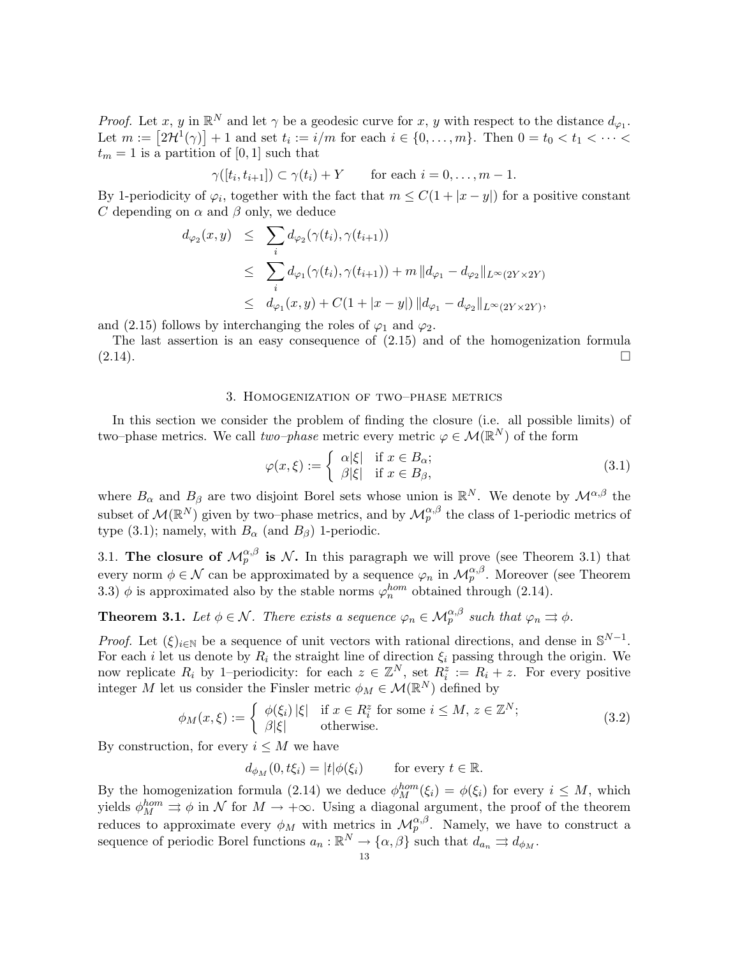*Proof.* Let x, y in  $\mathbb{R}^N$  and let  $\gamma$  be a geodesic curve for x, y with respect to the distance  $d_{\varphi_1}$ . Let  $m := [2\mathcal{H}^1(\gamma)] + 1$  and set  $t_i := i/m$  for each  $i \in \{0, \ldots, m\}$ . Then  $0 = t_0 < t_1 < \cdots <$  $t_m = 1$  is a partition of [0, 1] such that

$$
\gamma([t_i, t_{i+1}]) \subset \gamma(t_i) + Y \quad \text{for each } i = 0, \dots, m-1.
$$

By 1-periodicity of  $\varphi_i$ , together with the fact that  $m \leq C(1+|x-y|)$  for a positive constant C depending on  $\alpha$  and  $\beta$  only, we deduce

$$
d_{\varphi_2}(x, y) \leq \sum_i d_{\varphi_2}(\gamma(t_i), \gamma(t_{i+1}))
$$
  
\n
$$
\leq \sum_i d_{\varphi_1}(\gamma(t_i), \gamma(t_{i+1})) + m ||d_{\varphi_1} - d_{\varphi_2}||_{L^{\infty}(2Y \times 2Y)}
$$
  
\n
$$
\leq d_{\varphi_1}(x, y) + C(1 + |x - y|) ||d_{\varphi_1} - d_{\varphi_2}||_{L^{\infty}(2Y \times 2Y)},
$$

and (2.15) follows by interchanging the roles of  $\varphi_1$  and  $\varphi_2$ .

The last assertion is an easy consequence of (2.15) and of the homogenization formula  $(2.14).$ 

### 3. Homogenization of two–phase metrics

In this section we consider the problem of finding the closure (i.e. all possible limits) of two–phase metrics. We call  $two-phase$  metric every metric  $\varphi \in \mathcal{M}(\mathbb{R}^N)$  of the form

$$
\varphi(x,\xi) := \begin{cases} \alpha|\xi| & \text{if } x \in B_{\alpha}; \\ \beta|\xi| & \text{if } x \in B_{\beta}, \end{cases}
$$
\n(3.1)

where  $B_{\alpha}$  and  $B_{\beta}$  are two disjoint Borel sets whose union is  $\mathbb{R}^N$ . We denote by  $\mathcal{M}^{\alpha,\beta}$  the subset of  $\mathcal{M}(\mathbb{R}^N)$  given by two–phase metrics, and by  $\mathcal{M}_{p}^{\alpha,\beta}$  the class of 1-periodic metrics of type (3.1); namely, with  $B_{\alpha}$  (and  $B_{\beta}$ ) 1-periodic.

3.1. The closure of  $\mathcal{M}_p^{\alpha,\beta}$  is  $\mathcal{N}$ . In this paragraph we will prove (see Theorem 3.1) that every norm  $\phi \in \mathcal{N}$  can be approximated by a sequence  $\varphi_n$  in  $\mathcal{M}_p^{\alpha,\beta}$ . Moreover (see Theorem 3.3)  $\phi$  is approximated also by the stable norms  $\varphi_n^{hom}$  obtained through (2.14).

**Theorem 3.1.** Let  $\phi \in \mathcal{N}$ . There exists a sequence  $\varphi_n \in \mathcal{M}_p^{\alpha,\beta}$  such that  $\varphi_n \rightrightarrows \phi$ .

*Proof.* Let  $(\xi)_{i\in\mathbb{N}}$  be a sequence of unit vectors with rational directions, and dense in  $\mathbb{S}^{N-1}$ . For each i let us denote by  $R_i$  the straight line of direction  $\xi_i$  passing through the origin. We now replicate  $R_i$  by 1–periodicity: for each  $z \in \mathbb{Z}^N$ , set  $R_i^z := R_i + z$ . For every positive integer M let us consider the Finsler metric  $\phi_M \in \mathcal{M}(\mathbb{R}^N)$  defined by

$$
\phi_M(x,\xi) := \begin{cases} \phi(\xi_i) \, |\xi| & \text{if } x \in R_i^z \text{ for some } i \le M, \, z \in \mathbb{Z}^N; \\ \beta |\xi| & \text{otherwise.} \end{cases} \tag{3.2}
$$

By construction, for every  $i \leq M$  we have

 $d_{\phi_M}(0, t\xi_i) = |t| \phi(\xi_i)$  for every  $t \in \mathbb{R}$ .

By the homogenization formula (2.14) we deduce  $\phi_M^{hom}(\xi_i) = \phi(\xi_i)$  for every  $i \leq M$ , which yields  $\phi_M^{hom} \rightrightarrows \phi$  in N for  $M \to +\infty$ . Using a diagonal argument, the proof of the theorem reduces to approximate every  $\phi_M$  with metrics in  $\mathcal{M}_p^{\alpha,\beta}$ . Namely, we have to construct a sequence of periodic Borel functions  $a_n : \mathbb{R}^N \to \{\alpha, \beta\}$  such that  $d_{a_n} \rightrightarrows d_{\phi_M}$ .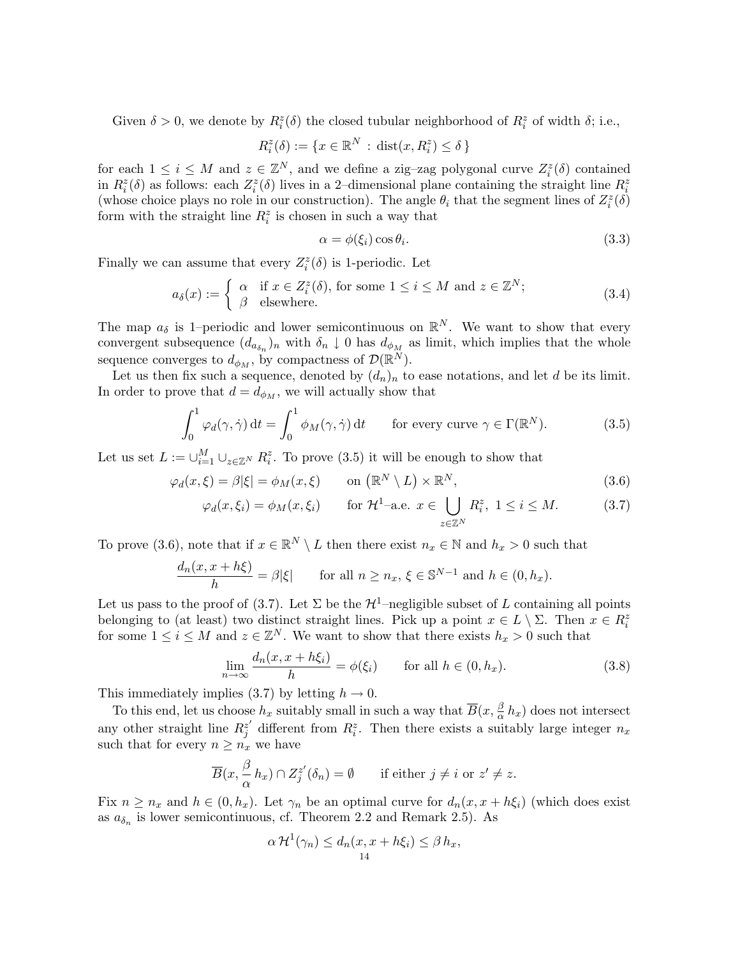Given  $\delta > 0$ , we denote by  $R_i^z(\delta)$  the closed tubular neighborhood of  $R_i^z$  of width  $\delta$ ; i.e.,

$$
R_i^z(\delta) := \{ x \in \mathbb{R}^N \, : \, \text{dist}(x, R_i^z) \le \delta \}
$$

for each  $1 \leq i \leq M$  and  $z \in \mathbb{Z}^N$ , and we define a zig-zag polygonal curve  $Z_i^z(\delta)$  contained in  $R_i^z(\delta)$  as follows: each  $Z_i^z(\delta)$  lives in a 2-dimensional plane containing the straight line  $R_i^z$ (whose choice plays no role in our construction). The angle  $\theta_i$  that the segment lines of  $Z_i^z(\delta)$ form with the straight line  $R_i^z$  is chosen in such a way that

$$
\alpha = \phi(\xi_i) \cos \theta_i. \tag{3.3}
$$

Finally we can assume that every  $Z_i^z(\delta)$  is 1-periodic. Let

$$
a_{\delta}(x) := \begin{cases} \alpha & \text{if } x \in Z_i^z(\delta), \text{ for some } 1 \le i \le M \text{ and } z \in \mathbb{Z}^N; \\ \beta & \text{elsewhere.} \end{cases}
$$
(3.4)

The map  $a_{\delta}$  is 1–periodic and lower semicontinuous on  $\mathbb{R}^{N}$ . We want to show that every convergent subsequence  $(d_{a_{\delta_n}})_n$  with  $\delta_n \downarrow 0$  has  $d_{\phi_M}$  as limit, which implies that the whole sequence converges to  $d_{\phi_M}$ , by compactness of  $\mathcal{D}(\mathbb{R}^N)$ .

Let us then fix such a sequence, denoted by  $(d_n)_n$  to ease notations, and let d be its limit. In order to prove that  $d = d_{\phi_M}$ , we will actually show that

$$
\int_0^1 \varphi_d(\gamma, \dot{\gamma}) dt = \int_0^1 \phi_M(\gamma, \dot{\gamma}) dt \quad \text{for every curve } \gamma \in \Gamma(\mathbb{R}^N). \tag{3.5}
$$

Let us set  $L := \bigcup_{i=1}^{M} \bigcup_{z \in \mathbb{Z}^N} R_i^z$ . To prove (3.5) it will be enough to show that

$$
\varphi_d(x,\xi) = \beta|\xi| = \phi_M(x,\xi) \qquad \text{on } \left(\mathbb{R}^N \setminus L\right) \times \mathbb{R}^N, \tag{3.6}
$$

$$
\varphi_d(x,\xi_i) = \phi_M(x,\xi_i) \qquad \text{for } \mathcal{H}^1\text{-a.e. } x \in \bigcup_{z \in \mathbb{Z}^N} R_i^z, \ 1 \le i \le M. \tag{3.7}
$$

To prove (3.6), note that if  $x \in \mathbb{R}^N \setminus L$  then there exist  $n_x \in \mathbb{N}$  and  $h_x > 0$  such that

$$
\frac{d_n(x, x + h\xi)}{h} = \beta |\xi| \quad \text{for all } n \ge n_x, \, \xi \in \mathbb{S}^{N-1} \text{ and } h \in (0, h_x).
$$

Let us pass to the proof of (3.7). Let  $\Sigma$  be the  $\mathcal{H}^1$ –negligible subset of L containing all points belonging to (at least) two distinct straight lines. Pick up a point  $x \in L \setminus \Sigma$ . Then  $x \in R_i^z$ for some  $1 \leq i \leq M$  and  $z \in \mathbb{Z}^N$ . We want to show that there exists  $h_x > 0$  such that

$$
\lim_{n \to \infty} \frac{d_n(x, x + h\xi_i)}{h} = \phi(\xi_i) \quad \text{for all } h \in (0, h_x). \tag{3.8}
$$

This immediately implies (3.7) by letting  $h \to 0$ .

To this end, let us choose  $h_x$  suitably small in such a way that  $\overline{B}(x, \frac{\beta}{\alpha})$  $\frac{\beta}{\alpha} h_x$  does not intersect any other straight line  $R_i^{z'}$  $z_j^{\prime}$  different from  $R_i^z$ . Then there exists a suitably large integer  $n_x$ such that for every  $n \geq n_x$  we have

$$
\overline{B}(x,\frac{\beta}{\alpha}h_x)\cap Z_j^{z'}(\delta_n)=\emptyset \qquad \text{if either } j\neq i \text{ or } z'\neq z.
$$

Fix  $n \geq n_x$  and  $h \in (0, h_x)$ . Let  $\gamma_n$  be an optimal curve for  $d_n(x, x + h\xi_i)$  (which does exist as  $a_{\delta_n}$  is lower semicontinuous, cf. Theorem 2.2 and Remark 2.5). As

$$
\alpha \mathcal{H}^1(\gamma_n) \leq d_n(x, x + h\xi_i) \leq \beta h_x,
$$
  
<sub>14</sub>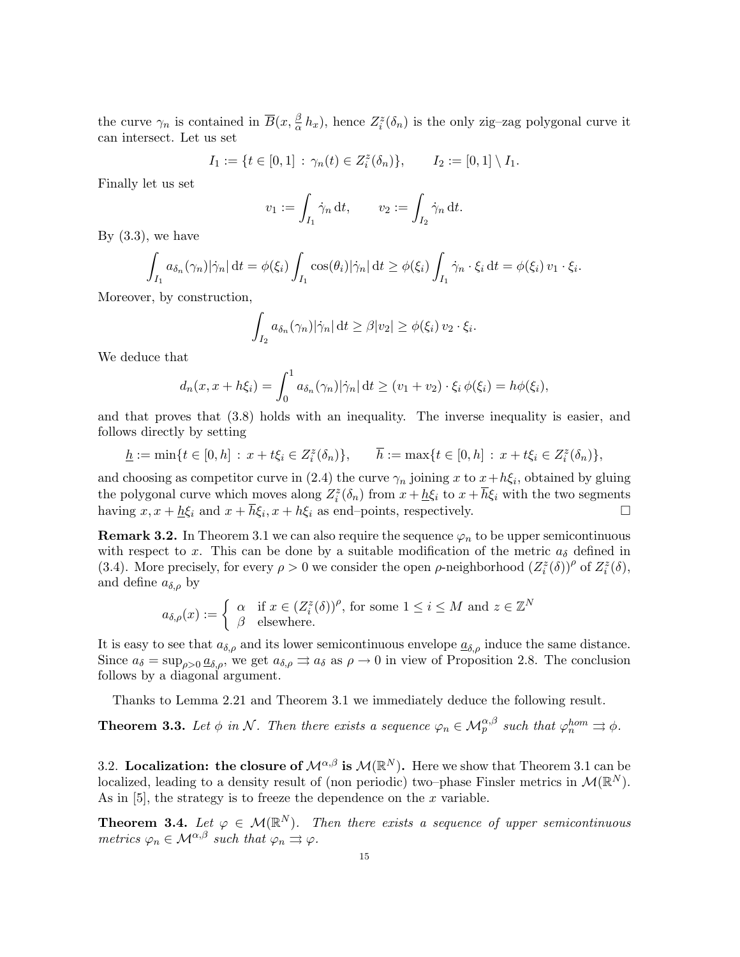the curve  $\gamma_n$  is contained in  $\overline{B}(x, \frac{\beta}{\alpha})$  $\frac{\beta}{\alpha} h_x$ ), hence  $Z_i^z(\delta_n)$  is the only zig-zag polygonal curve it can intersect. Let us set

$$
I_1 := \{ t \in [0,1] : \gamma_n(t) \in Z_i^z(\delta_n) \}, \qquad I_2 := [0,1] \setminus I_1.
$$

Finally let us set

$$
v_1 := \int_{I_1} \dot{\gamma}_n \, \mathrm{d}t, \qquad v_2 := \int_{I_2} \dot{\gamma}_n \, \mathrm{d}t.
$$

By  $(3.3)$ , we have

$$
\int_{I_1} a_{\delta_n}(\gamma_n) |\dot{\gamma}_n| dt = \phi(\xi_i) \int_{I_1} \cos(\theta_i) |\dot{\gamma}_n| dt \ge \phi(\xi_i) \int_{I_1} \dot{\gamma}_n \cdot \xi_i dt = \phi(\xi_i) v_1 \cdot \xi_i.
$$

Moreover, by construction,

$$
\int_{I_2} a_{\delta_n}(\gamma_n) |\dot{\gamma}_n| dt \geq \beta |v_2| \geq \phi(\xi_i) v_2 \cdot \xi_i.
$$

We deduce that

$$
d_n(x, x + h\xi_i) = \int_0^1 a_{\delta_n}(\gamma_n) |\dot{\gamma}_n| dt \ge (v_1 + v_2) \cdot \xi_i \phi(\xi_i) = h\phi(\xi_i),
$$

and that proves that (3.8) holds with an inequality. The inverse inequality is easier, and follows directly by setting

$$
\underline{h} := \min\{t \in [0, h] : x + t\xi_i \in Z_i^z(\delta_n)\}, \qquad \overline{h} := \max\{t \in [0, h] : x + t\xi_i \in Z_i^z(\delta_n)\},
$$

and choosing as competitor curve in (2.4) the curve  $\gamma_n$  joining x to  $x + h\xi_i$ , obtained by gluing the polygonal curve which moves along  $Z_i^z(\delta_n)$  from  $x + \underline{h}\xi_i$  to  $x + \overline{h}\xi_i$  with the two segments having  $x, x + \underline{h}\xi_i$  and  $x + \overline{h}\xi_i, x + h\xi_i$  as end-points, respectively.

**Remark 3.2.** In Theorem 3.1 we can also require the sequence  $\varphi_n$  to be upper semicontinuous with respect to x. This can be done by a suitable modification of the metric  $a_{\delta}$  defined in (3.4). More precisely, for every  $\rho > 0$  we consider the open  $\rho$ -neighborhood  $(Z_i^z(\delta))^{\rho}$  of  $Z_i^z(\delta)$ , and define  $a_{\delta,\rho}$  by

$$
a_{\delta,\rho}(x) := \begin{cases} \alpha & \text{if } x \in (Z_i^z(\delta))^{\rho}, \text{ for some } 1 \le i \le M \text{ and } z \in \mathbb{Z}^N\\ \beta & \text{elsewhere.} \end{cases}
$$

It is easy to see that  $a_{\delta,\rho}$  and its lower semicontinuous envelope  $\underline{a}_{\delta,\rho}$  induce the same distance. Since  $a_{\delta} = \sup_{\rho>0} \underline{a}_{\delta,\rho}$ , we get  $a_{\delta,\rho} \Rightarrow a_{\delta}$  as  $\rho \to 0$  in view of Proposition 2.8. The conclusion follows by a diagonal argument.

Thanks to Lemma 2.21 and Theorem 3.1 we immediately deduce the following result.

**Theorem 3.3.** Let  $\phi$  in N. Then there exists a sequence  $\varphi_n \in \mathcal{M}_p^{\alpha,\beta}$  such that  $\varphi_n^{hom} \rightrightarrows \phi$ .

3.2. Localization: the closure of  $\mathcal{M}^{\alpha,\beta}$  is  $\mathcal{M}(\mathbb{R}^N)$ . Here we show that Theorem 3.1 can be localized, leading to a density result of (non periodic) two-phase Finsler metrics in  $\mathcal{M}(\mathbb{R}^N)$ . As in [5], the strategy is to freeze the dependence on the  $x$  variable.

**Theorem 3.4.** Let  $\varphi \in \mathcal{M}(\mathbb{R}^N)$ . Then there exists a sequence of upper semicontinuous metrics  $\varphi_n \in \mathcal{M}^{\alpha,\beta}$  such that  $\varphi_n \rightrightarrows \varphi$ .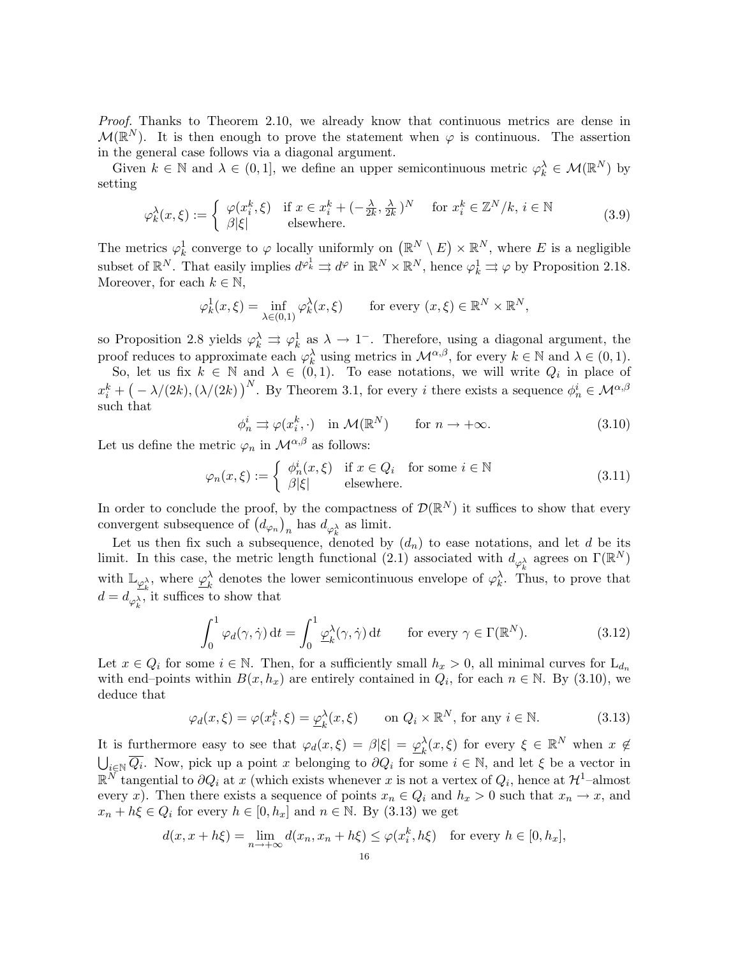Proof. Thanks to Theorem 2.10, we already know that continuous metrics are dense in  $\mathcal{M}(\mathbb{R}^N)$ . It is then enough to prove the statement when  $\varphi$  is continuous. The assertion in the general case follows via a diagonal argument.

Given  $k \in \mathbb{N}$  and  $\lambda \in (0,1]$ , we define an upper semicontinuous metric  $\varphi_k^{\lambda} \in \mathcal{M}(\mathbb{R}^N)$  by setting

$$
\varphi_k^{\lambda}(x,\xi) := \begin{cases} \varphi(x_i^k,\xi) & \text{if } x \in x_i^k + (-\frac{\lambda}{2k}, \frac{\lambda}{2k})^N \\ \beta|\xi| & \text{elsewhere.} \end{cases} \quad \text{for } x_i^k \in \mathbb{Z}^N / k, i \in \mathbb{N} \tag{3.9}
$$

The metrics  $\varphi_k^1$  converge to  $\varphi$  locally uniformly on  $(\mathbb{R}^N \setminus E) \times \mathbb{R}^N$ , where E is a negligible subset of  $\mathbb{R}^N$ . That easily implies  $d^{\varphi_k^1} \rightrightarrows d^{\varphi}$  in  $\mathbb{R}^N \times \mathbb{R}^N$ , hence  $\varphi_k^1 \rightrightarrows \varphi$  by Proposition 2.18. Moreover, for each  $k \in \mathbb{N}$ ,

$$
\varphi_k^1(x,\xi) = \inf_{\lambda \in (0,1)} \varphi_k^{\lambda}(x,\xi) \quad \text{for every } (x,\xi) \in \mathbb{R}^N \times \mathbb{R}^N,
$$

so Proposition 2.8 yields  $\varphi_k^{\lambda} \Rightarrow \varphi_k^1$  as  $\lambda \to 1^-$ . Therefore, using a diagonal argument, the proof reduces to approximate each  $\varphi_k^{\lambda}$  using metrics in  $\mathcal{M}^{\alpha,\beta}$ , for every  $k \in \mathbb{N}$  and  $\lambda \in (0,1)$ .

So, let us fix  $k \in \mathbb{N}$  and  $\lambda \in (0,1)$ . To ease notations, we will write  $Q_i$  in place of  $x_i^k + (-\lambda/(2k), (\lambda/(2k))^{N}$ . By Theorem 3.1, for every i there exists a sequence  $\phi_n^i \in \mathcal{M}^{\alpha,\beta}$ such that

$$
\phi_n^i \Rightarrow \varphi(x_i^k, \cdot) \quad \text{in } \mathcal{M}(\mathbb{R}^N) \qquad \text{for } n \to +\infty. \tag{3.10}
$$

Let us define the metric  $\varphi_n$  in  $\mathcal{M}^{\alpha,\beta}$  as follows:

$$
\varphi_n(x,\xi) := \begin{cases} \phi_n^i(x,\xi) & \text{if } x \in Q_i \quad \text{for some } i \in \mathbb{N} \\ \beta|\xi| & \text{elsewhere.} \end{cases}
$$
 (3.11)

In order to conclude the proof, by the compactness of  $\mathcal{D}(\mathbb{R}^N)$  it suffices to show that every convergent subsequence of  $(d_{\varphi_n})_n$  has  $d_{\varphi_k^{\lambda}}$  as limit.

Let us then fix such a subsequence, denoted by  $(d_n)$  to ease notations, and let d be its limit. In this case, the metric length functional (2.1) associated with  $d_{\varphi_k^{\lambda}}$  agrees on  $\Gamma(\mathbb{R}^N)$ with  $\mathbb{L}_{\underline{\varphi}_k^{\lambda}}$ , where  $\underline{\varphi}_k^{\lambda}$  denotes the lower semicontinuous envelope of  $\varphi_k^{\lambda}$ . Then  $\lambda_k$  denotes the lower semicontinuous envelope of  $\varphi_k^{\lambda}$ . Thus, to prove that  $d = d_{\varphi_k^{\lambda}}$ , it suffices to show that

$$
\int_0^1 \varphi_d(\gamma, \dot{\gamma}) dt = \int_0^1 \underline{\varphi}_k^{\lambda}(\gamma, \dot{\gamma}) dt \quad \text{for every } \gamma \in \Gamma(\mathbb{R}^N). \tag{3.12}
$$

Let  $x \in Q_i$  for some  $i \in \mathbb{N}$ . Then, for a sufficiently small  $h_x > 0$ , all minimal curves for  $L_{d_n}$ with end–points within  $B(x, h_x)$  are entirely contained in  $Q_i$ , for each  $n \in \mathbb{N}$ . By (3.10), we deduce that

$$
\varphi_d(x,\xi) = \varphi(x_i^k,\xi) = \underline{\varphi}_k^{\lambda}(x,\xi) \qquad \text{on } Q_i \times \mathbb{R}^N, \text{ for any } i \in \mathbb{N}.
$$
 (3.13)

It is furthermore easy to see that  $\varphi_d(x,\xi) = \beta |\xi| = \varphi_k^{\lambda}$  $\lambda_k^{\lambda}(x,\xi)$  for every  $\xi \in \mathbb{R}^N$  when  $x \notin$  $\bigcup_{i\in\mathbb{N}}\overline{Q_i}$ . Now, pick up a point x belonging to  $\partial Q_i$  for some  $i\in\mathbb{N}$ , and let  $\xi$  be a vector in  $\mathbb{R}^N$  tangential to  $\partial Q_i$  at x (which exists whenever x is not a vertex of  $Q_i$ , hence at  $\mathcal{H}^1$ -almost every x). Then there exists a sequence of points  $x_n \in Q_i$  and  $h_x > 0$  such that  $x_n \to x$ , and  $x_n + h\xi \in Q_i$  for every  $h \in [0, h_x]$  and  $n \in \mathbb{N}$ . By (3.13) we get

$$
d(x, x + h\xi) = \lim_{n \to +\infty} d(x_n, x_n + h\xi) \le \varphi(x_i^k, h\xi) \quad \text{for every } h \in [0, h_x],
$$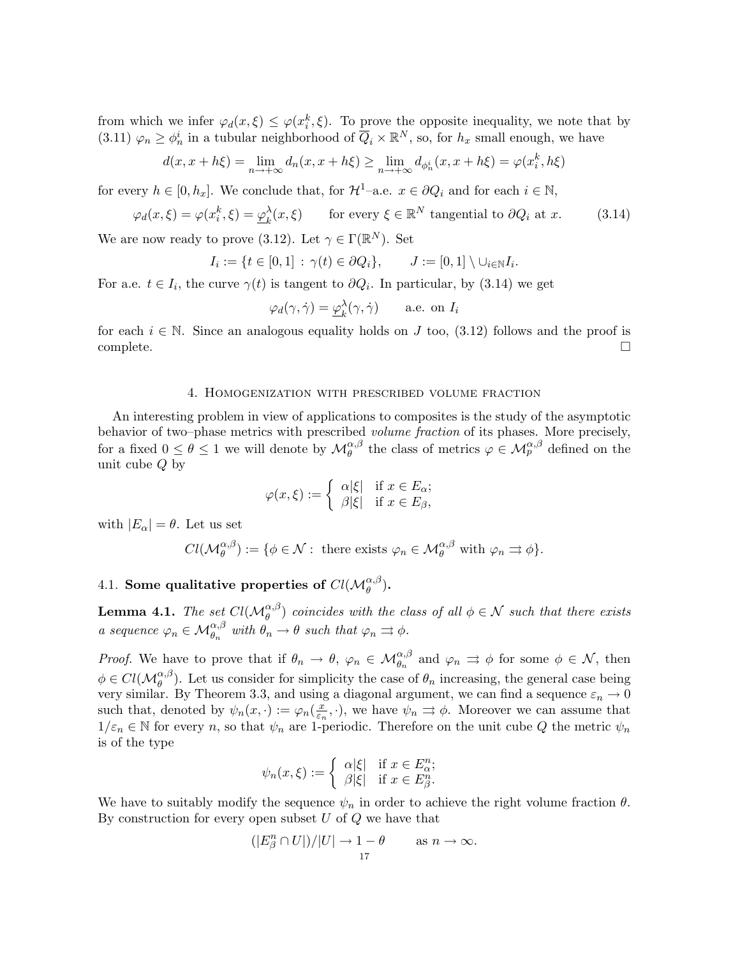from which we infer  $\varphi_d(x,\xi) \leq \varphi(x_i^k,\xi)$ . To prove the opposite inequality, we note that by (3.11)  $\varphi_n \geq \varphi_n^i$  in a tubular neighborhood of  $\overline{Q}_i \times \mathbb{R}^N$ , so, for  $h_x$  small enough, we have

$$
d(x, x + h\xi) = \lim_{n \to +\infty} d_n(x, x + h\xi) \ge \lim_{n \to +\infty} d_{\phi_n^i}(x, x + h\xi) = \varphi(x_i^k, h\xi)
$$

for every  $h \in [0, h_x]$ . We conclude that, for  $\mathcal{H}^1$ –a.e.  $x \in \partial Q_i$  and for each  $i \in \mathbb{N}$ ,

$$
\varphi_d(x,\xi) = \varphi(x_i^k,\xi) = \underline{\varphi}_k^{\lambda}(x,\xi) \qquad \text{for every } \xi \in \mathbb{R}^N \text{ tangential to } \partial Q_i \text{ at } x. \tag{3.14}
$$

We are now ready to prove (3.12). Let  $\gamma \in \Gamma(\mathbb{R}^N)$ . Set

$$
I_i := \{ t \in [0,1] : \gamma(t) \in \partial Q_i \}, \qquad J := [0,1] \setminus \cup_{i \in \mathbb{N}} I_i.
$$

For a.e.  $t \in I_i$ , the curve  $\gamma(t)$  is tangent to  $\partial Q_i$ . In particular, by (3.14) we get

$$
\varphi_d(\gamma, \dot{\gamma}) = \underline{\varphi}_k^{\lambda}(\gamma, \dot{\gamma})
$$
 a.e. on  $I_i$ 

for each  $i \in \mathbb{N}$ . Since an analogous equality holds on J too, (3.12) follows and the proof is complete. □

### 4. Homogenization with prescribed volume fraction

An interesting problem in view of applications to composites is the study of the asymptotic behavior of two–phase metrics with prescribed *volume fraction* of its phases. More precisely, for a fixed  $0 \le \theta \le 1$  we will denote by  $\mathcal{M}_{\theta}^{\alpha,\beta}$  the class of metrics  $\varphi \in \mathcal{M}_{p}^{\alpha,\beta}$  defined on the unit cube Q by

$$
\varphi(x,\xi) := \begin{cases} \alpha|\xi| & \text{if } x \in E_{\alpha}; \\ \beta|\xi| & \text{if } x \in E_{\beta}, \end{cases}
$$

with  $|E_{\alpha}| = \theta$ . Let us set

$$
Cl(\mathcal{M}_{\theta}^{\alpha,\beta}) := \{ \phi \in \mathcal{N} : \text{ there exists } \varphi_n \in \mathcal{M}_{\theta}^{\alpha,\beta} \text{ with } \varphi_n \rightrightarrows \phi \}.
$$

# 4.1. Some qualitative properties of  $Cl(\mathcal{M}_{\theta}^{\alpha,\beta}).$

**Lemma 4.1.** The set  $Cl(M_{\theta}^{\alpha,\beta})$  coincides with the class of all  $\phi \in \mathcal{N}$  such that there exists a sequence  $\varphi_n \in \mathcal{M}_{\theta_n}^{\alpha,\beta}$  with  $\theta_n \to \theta$  such that  $\varphi_n \rightrightarrows \phi$ .

*Proof.* We have to prove that if  $\theta_n \to \theta$ ,  $\varphi_n \in \mathcal{M}_{\theta_n}^{\alpha,\beta}$  and  $\varphi_n \rightrightarrows \phi$  for some  $\phi \in \mathcal{N}$ , then  $\phi \in Cl(\mathcal{M}_{\theta}^{\alpha,\beta})$ . Let us consider for simplicity the case of  $\theta_n$  increasing, the general case being very similar. By Theorem 3.3, and using a diagonal argument, we can find a sequence  $\varepsilon_n \to 0$ such that, denoted by  $\psi_n(x, \cdot) := \varphi_n(\frac{x}{\varepsilon_n})$  $(\frac{x}{\varepsilon_n}, \cdot)$ , we have  $\psi_n \rightrightarrows \phi$ . Moreover we can assume that  $1/\varepsilon_n \in \mathbb{N}$  for every n, so that  $\psi_n$  are 1-periodic. Therefore on the unit cube Q the metric  $\psi_n$ is of the type

$$
\psi_n(x,\xi) := \begin{cases} \alpha|\xi| & \text{if } x \in E_\alpha^n; \\ \beta|\xi| & \text{if } x \in E_\beta^n. \end{cases}
$$

We have to suitably modify the sequence  $\psi_n$  in order to achieve the right volume fraction  $\theta$ . By construction for every open subset  $U$  of  $Q$  we have that

$$
(|E_{\beta}^n \cap U|)/|U| \to 1 - \theta \quad \text{as } n \to \infty.
$$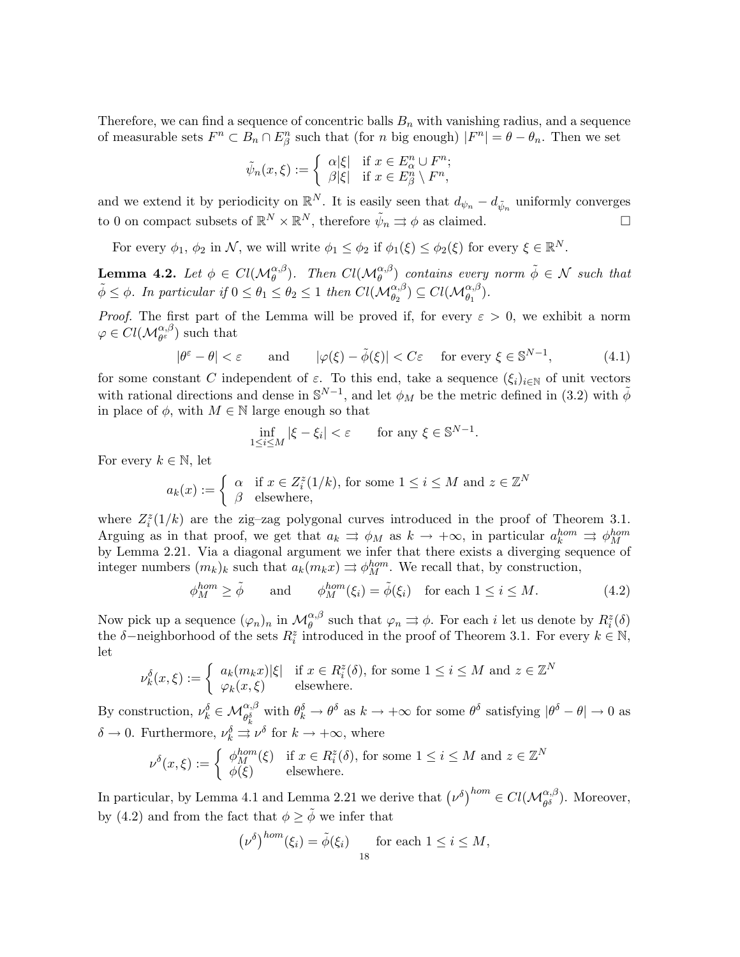Therefore, we can find a sequence of concentric balls  $B_n$  with vanishing radius, and a sequence of measurable sets  $F^n \subset B_n \cap E^n_\beta$  such that (for n big enough)  $|F^n| = \theta - \theta_n$ . Then we set

$$
\tilde{\psi}_n(x,\xi) := \begin{cases} \alpha|\xi| & \text{if } x \in E^n_\alpha \cup F^n; \\ \beta|\xi| & \text{if } x \in E^n_\beta \setminus F^n, \end{cases}
$$

and we extend it by periodicity on  $\mathbb{R}^N$ . It is easily seen that  $d_{\psi_n} - d_{\tilde{\psi}_n}$  uniformly converges to 0 on compact subsets of  $\mathbb{R}^N \times \mathbb{R}^N$ , therefore  $\tilde{\psi}_n \rightrightarrows \phi$  as claimed.

For every  $\phi_1, \phi_2$  in N, we will write  $\phi_1 \leq \phi_2$  if  $\phi_1(\xi) \leq \phi_2(\xi)$  for every  $\xi \in \mathbb{R}^N$ .

**Lemma 4.2.** Let  $\phi \in Cl(\mathcal{M}_{\theta}^{\alpha,\beta})$ . Then  $Cl(\mathcal{M}_{\theta}^{\alpha,\beta})$  contains every norm  $\tilde{\phi} \in \mathcal{N}$  such that  $\tilde{\phi} \leq \phi$ . In particular if  $0 \leq \theta_1 \leq \theta_2 \leq 1$  then  $Cl(\mathcal{M}_{\theta_2}^{\alpha,\beta}) \subseteq Cl(\mathcal{M}_{\theta_1}^{\alpha,\beta})$ .

*Proof.* The first part of the Lemma will be proved if, for every  $\varepsilon > 0$ , we exhibit a norm  $\varphi \in Cl(\mathcal{M}_{\theta^{\varepsilon}}^{\alpha,\beta})$  such that

$$
|\theta^{\varepsilon} - \theta| < \varepsilon \qquad \text{and} \qquad |\varphi(\xi) - \tilde{\phi}(\xi)| < C\varepsilon \quad \text{ for every } \xi \in \mathbb{S}^{N-1}, \tag{4.1}
$$

for some constant C independent of  $\varepsilon$ . To this end, take a sequence  $(\xi_i)_{i\in\mathbb{N}}$  of unit vectors with rational directions and dense in  $\mathbb{S}^{N-1}$ , and let  $\phi_M$  be the metric defined in (3.2) with  $\tilde{\phi}$ in place of  $\phi$ , with  $M \in \mathbb{N}$  large enough so that

$$
\inf_{1 \le i \le M} |\xi - \xi_i| < \varepsilon \qquad \text{for any } \xi \in \mathbb{S}^{N-1}.
$$

For every  $k \in \mathbb{N}$ , let

$$
a_k(x) := \begin{cases} \alpha & \text{if } x \in Z_i^z(1/k), \text{ for some } 1 \le i \le M \text{ and } z \in \mathbb{Z}^N\\ \beta & \text{elsewhere,} \end{cases}
$$

where  $Z_i^z(1/k)$  are the zig-zag polygonal curves introduced in the proof of Theorem 3.1. Arguing as in that proof, we get that  $a_k \Rightarrow \phi_M$  as  $k \to +\infty$ , in particular  $a_k^{hom} \Rightarrow \phi_M^{hom}$ by Lemma 2.21. Via a diagonal argument we infer that there exists a diverging sequence of integer numbers  $(m_k)_k$  such that  $a_k(m_k x) \Rightarrow \phi_M^{hom}$ . We recall that, by construction,

$$
\phi_M^{hom} \ge \tilde{\phi} \quad \text{and} \quad \phi_M^{hom}(\xi_i) = \tilde{\phi}(\xi_i) \quad \text{for each } 1 \le i \le M. \tag{4.2}
$$

Now pick up a sequence  $(\varphi_n)_n$  in  $\mathcal{M}_{\theta}^{\alpha,\beta}$  such that  $\varphi_n \rightrightarrows \phi$ . For each i let us denote by  $R_i^z(\delta)$ the  $\delta$ -neighborhood of the sets  $R_i^z$  introduced in the proof of Theorem 3.1. For every  $k \in \mathbb{N}$ , let

$$
\nu_k^{\delta}(x,\xi) := \begin{cases} a_k(m_k x) |\xi| & \text{if } x \in R_i^z(\delta), \text{ for some } 1 \le i \le M \text{ and } z \in \mathbb{Z}^N\\ \varphi_k(x,\xi) & \text{elsewhere.} \end{cases}
$$

By construction,  $\nu_k^{\delta} \in \mathcal{M}_{\theta_k^{\delta}}^{\alpha,\beta}$  with  $\theta_k^{\delta} \to \theta^{\delta}$  as  $k \to +\infty$  for some  $\theta^{\delta}$  satisfying  $|\theta^{\delta} - \theta| \to 0$  as  $\delta \to 0$ . Furthermore,  $\nu_k^{\delta} \to \nu^{\delta}$  for  $k \to +\infty$ , where

$$
\nu^{\delta}(x,\xi) := \begin{cases} \phi_M^{hom}(\xi) & \text{if } x \in R_i^z(\delta), \text{ for some } 1 \le i \le M \text{ and } z \in \mathbb{Z}^N\\ \phi(\xi) & \text{elsewhere.} \end{cases}
$$

In particular, by Lemma 4.1 and Lemma 2.21 we derive that  $(\nu^{\delta})^{hom} \in Cl(\mathcal{M}_{\theta^{\delta}}^{\alpha,\beta})$ . Moreover, by (4.2) and from the fact that  $\phi \geq \tilde{\phi}$  we infer that

$$
(\nu^{\delta})^{hom}(\xi_i) = \tilde{\phi}(\xi_i) \quad \text{for each } 1 \leq i \leq M,
$$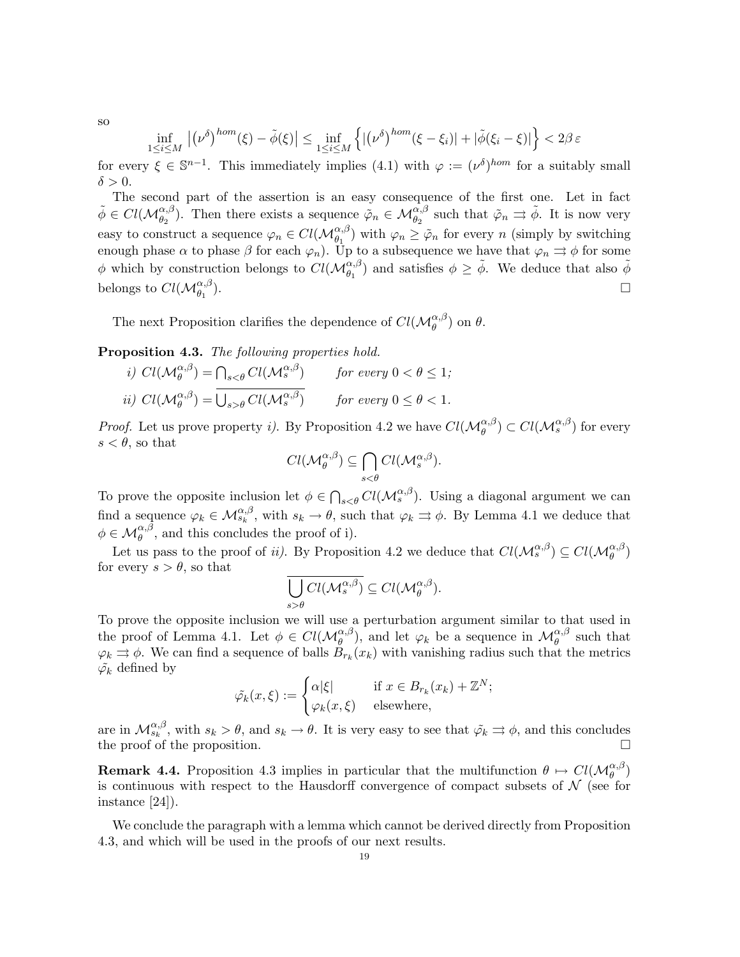so

$$
\inf_{1 \le i \le M} |(\nu^{\delta})^{hom}(\xi) - \tilde{\phi}(\xi)| \le \inf_{1 \le i \le M} \left\{ |(\nu^{\delta})^{hom}(\xi - \xi_i)| + |\tilde{\phi}(\xi_i - \xi)| \right\} < 2\beta \varepsilon
$$

for every  $\xi \in \mathbb{S}^{n-1}$ . This immediately implies (4.1) with  $\varphi := (\nu^{\delta})^{hom}$  for a suitably small  $\delta > 0$ .

The second part of the assertion is an easy consequence of the first one. Let in fact  $\tilde{\phi} \in Cl(\mathcal{M}_{\theta_2}^{\alpha,\beta})$ . Then there exists a sequence  $\tilde{\varphi}_n \in \mathcal{M}_{\theta_2}^{\alpha,\beta}$  such that  $\tilde{\varphi}_n \rightrightarrows \tilde{\phi}$ . It is now very easy to construct a sequence  $\varphi_n \in Cl(\mathcal{M}_{\theta_1}^{\alpha,\beta})$  with  $\varphi_n \geq \tilde{\varphi}_n$  for every n (simply by switching enough phase  $\alpha$  to phase  $\beta$  for each  $\varphi_n$ ). Up to a subsequence we have that  $\varphi_n \rightrightarrows \phi$  for some  $\phi$  which by construction belongs to  $Cl(M_{\theta_1}^{\alpha,\beta})$  and satisfies  $\phi \geq \tilde{\phi}$ . We deduce that also  $\tilde{\phi}$ belongs to  $Cl(\mathcal{M}_{\theta_1}^{\alpha,\beta})$  $\Box$ 

The next Proposition clarifies the dependence of  $Cl(M_{\theta}^{\alpha,\beta})$  on  $\theta$ .

Proposition 4.3. The following properties hold.

*i)* 
$$
Cl(\mathcal{M}_{\theta}^{\alpha,\beta}) = \bigcap_{s < \theta} Cl(\mathcal{M}_{s}^{\alpha,\beta})
$$
 for every  $0 < \theta \leq 1$ ;  
\n*ii)*  $Cl(\mathcal{M}_{\theta}^{\alpha,\beta}) = \overline{\bigcup_{s > \theta} Cl(\mathcal{M}_{s}^{\alpha,\beta})}$  for every  $0 \leq \theta < 1$ .

*Proof.* Let us prove property *i*). By Proposition 4.2 we have  $Cl(M_{\theta}^{\alpha,\beta}) \subset Cl(M_s^{\alpha,\beta})$  for every  $s < \theta$ , so that

$$
Cl(\mathcal{M}_{\theta}^{\alpha,\beta}) \subseteq \bigcap_{s < \theta} Cl(\mathcal{M}_{s}^{\alpha,\beta}).
$$

To prove the opposite inclusion let  $\phi \in \bigcap_{s \leq \theta} Cl(\mathcal{M}_s^{\alpha,\beta})$ . Using a diagonal argument we can find a sequence  $\varphi_k \in \mathcal{M}_{s_k}^{\alpha,\beta}$ , with  $s_k \to \theta$ , such that  $\varphi_k \rightrightarrows \phi$ . By Lemma 4.1 we deduce that  $\phi \in \mathcal{M}_{\theta}^{\alpha,\beta}$ , and this concludes the proof of i).

Let us pass to the proof of *ii*). By Proposition 4.2 we deduce that  $Cl(M_s^{\alpha,\beta}) \subseteq Cl(M_{\theta}^{\alpha,\beta})$ for every  $s > \theta$ , so that

$$
\overline{\bigcup_{s>\theta} Cl(\mathcal{M}_s^{\alpha,\beta})} \subseteq Cl(\mathcal{M}_{\theta}^{\alpha,\beta}).
$$

To prove the opposite inclusion we will use a perturbation argument similar to that used in the proof of Lemma 4.1. Let  $\phi \in Cl(\mathcal{M}_{\theta}^{\alpha,\beta})$ , and let  $\varphi_k$  be a sequence in  $\mathcal{M}_{\theta}^{\alpha,\beta}$  such that  $\varphi_k \rightrightarrows \phi$ . We can find a sequence of balls  $\check{B}_{r_k}(x_k)$  with vanishing radius such that the metrics  $\tilde{\varphi_k}$  defined by

$$
\tilde{\varphi_k}(x,\xi) := \begin{cases} \alpha|\xi| & \text{if } x \in B_{r_k}(x_k) + \mathbb{Z}^N; \\ \varphi_k(x,\xi) & \text{elsewhere,} \end{cases}
$$

are in  $\mathcal{M}_{s_k}^{\alpha,\beta}$ , with  $s_k > \theta$ , and  $s_k \to \theta$ . It is very easy to see that  $\tilde{\varphi}_k \rightrightarrows \phi$ , and this concludes the proof of the proposition.

**Remark 4.4.** Proposition 4.3 implies in particular that the multifunction  $\theta \mapsto Cl(M_{\theta}^{\alpha,\beta})$ is continuous with respect to the Hausdorff convergence of compact subsets of  $\mathcal N$  (see for instance [24]).

We conclude the paragraph with a lemma which cannot be derived directly from Proposition 4.3, and which will be used in the proofs of our next results.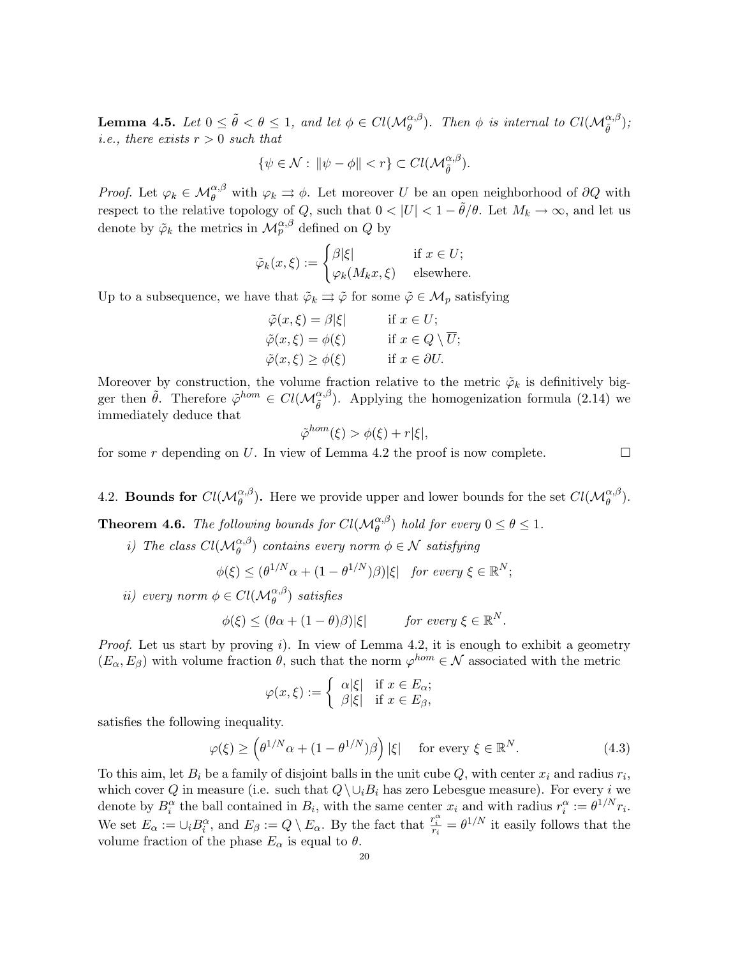**Lemma 4.5.** Let  $0 \le \tilde{\theta} < \theta \le 1$ , and let  $\phi \in Cl(\mathcal{M}_{\theta}^{\alpha,\beta})$ . Then  $\phi$  is internal to  $Cl(\mathcal{M}_{\tilde{\theta}}^{\alpha,\beta})$ ; *i.e.*, there exists  $r > 0$  such that

$$
\{\psi \in \mathcal{N}: \|\psi - \phi\| < r\} \subset Cl(\mathcal{M}_{\tilde{\theta}}^{\alpha,\beta}).
$$

*Proof.* Let  $\varphi_k \in \mathcal{M}_{\theta}^{\alpha,\beta}$  with  $\varphi_k \rightrightarrows \phi$ . Let moreover U be an open neighborhood of  $\partial Q$  with respect to the relative topology of Q, such that  $0 < |U| < 1 - \tilde{\theta}/\theta$ . Let  $M_k \to \infty$ , and let us denote by  $\tilde{\varphi}_k$  the metrics in  $\mathcal{M}_p^{\alpha,\beta}$  defined on  $Q$  by

$$
\tilde{\varphi}_k(x,\xi) := \begin{cases}\n\beta|\xi| & \text{if } x \in U; \\
\varphi_k(M_k x, \xi) & \text{elsewhere.} \n\end{cases}
$$

Up to a subsequence, we have that  $\tilde{\varphi}_k \rightrightarrows \tilde{\varphi}$  for some  $\tilde{\varphi} \in \mathcal{M}_p$  satisfying

$$
\tilde{\varphi}(x,\xi) = \beta |\xi| \quad \text{if } x \in U; \n\tilde{\varphi}(x,\xi) = \phi(\xi) \quad \text{if } x \in Q \setminus \overline{U}; \n\tilde{\varphi}(x,\xi) \ge \phi(\xi) \quad \text{if } x \in \partial U.
$$

Moreover by construction, the volume fraction relative to the metric  $\tilde{\varphi}_k$  is definitively bigger then  $\tilde{\theta}$ . Therefore  $\tilde{\varphi}^{hom} \in Cl(\mathcal{M}_{\tilde{\theta}}^{\alpha,\beta})$ . Applying the homogenization formula (2.14) we immediately deduce that

$$
\tilde{\varphi}^{hom}(\xi) > \phi(\xi) + r|\xi|,
$$

for some r depending on U. In view of Lemma 4.2 the proof is now complete.

4.2. Bounds for  $Cl(M_{\theta}^{\alpha,\beta})$ . Here we provide upper and lower bounds for the set  $Cl(M_{\theta}^{\alpha,\beta})$ .

**Theorem 4.6.** The following bounds for  $Cl(M_{\theta}^{\alpha,\beta})$  hold for every  $0 \le \theta \le 1$ .

i) The class  $Cl(M_{\theta}^{\alpha,\beta})$  contains every norm  $\phi \in \mathcal{N}$  satisfying

$$
\phi(\xi) \leq (\theta^{1/N} \alpha + (1 - \theta^{1/N})\beta)|\xi| \quad \text{for every } \xi \in \mathbb{R}^N;
$$

ii) every norm  $\phi \in Cl(\mathcal{M}_{\theta}^{\alpha,\beta})$  satisfies

$$
\phi(\xi) \leq (\theta \alpha + (1 - \theta)\beta)|\xi| \quad \text{for every } \xi \in \mathbb{R}^N.
$$

*Proof.* Let us start by proving i). In view of Lemma 4.2, it is enough to exhibit a geometry  $(E_{\alpha}, E_{\beta})$  with volume fraction  $\theta$ , such that the norm  $\varphi^{hom} \in \mathcal{N}$  associated with the metric

$$
\varphi(x,\xi) := \begin{cases} \alpha|\xi| & \text{if } x \in E_{\alpha}; \\ \beta|\xi| & \text{if } x \in E_{\beta}, \end{cases}
$$

satisfies the following inequality.

$$
\varphi(\xi) \ge \left(\theta^{1/N}\alpha + (1 - \theta^{1/N})\beta\right)|\xi| \quad \text{for every } \xi \in \mathbb{R}^N. \tag{4.3}
$$

To this aim, let  $B_i$  be a family of disjoint balls in the unit cube  $Q$ , with center  $x_i$  and radius  $r_i$ , which cover Q in measure (i.e. such that  $Q\setminus\cup_iB_i$  has zero Lebesgue measure). For every i we denote by  $B_i^{\alpha}$  the ball contained in  $B_i$ , with the same center  $x_i$  and with radius  $r_i^{\alpha} := \theta^{1/N} r_i$ . We set  $E_{\alpha} := \cup_i B_i^{\alpha}$ , and  $E_{\beta} := Q \setminus E_{\alpha}$ . By the fact that  $\frac{r_i^{\alpha}}{r_i} = \theta^{1/N}$  it easily follows that the volume fraction of the phase  $E_{\alpha}$  is equal to  $\theta$ .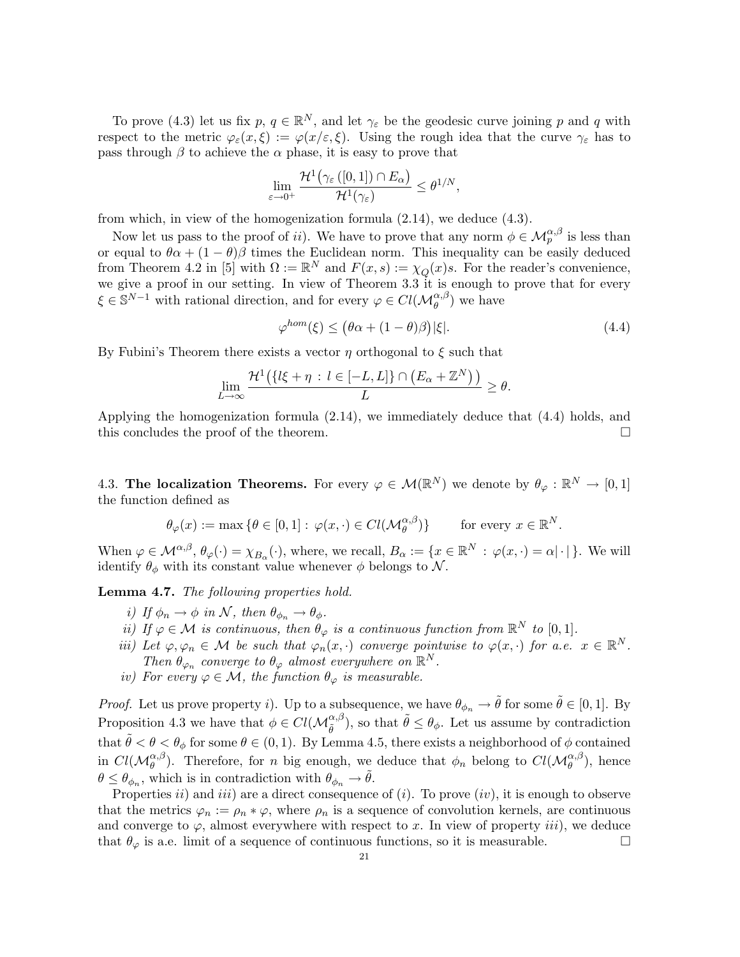To prove (4.3) let us fix  $p, q \in \mathbb{R}^N$ , and let  $\gamma_{\varepsilon}$  be the geodesic curve joining p and q with respect to the metric  $\varphi_{\varepsilon}(x,\xi) := \varphi(x/\varepsilon,\xi)$ . Using the rough idea that the curve  $\gamma_{\varepsilon}$  has to pass through  $\beta$  to achieve the  $\alpha$  phase, it is easy to prove that

$$
\lim_{\varepsilon\to 0^+}\frac{\mathcal H^1\big(\gamma_\varepsilon\left([0,1]\right)\cap E_\alpha\big)}{\mathcal H^1(\gamma_\varepsilon)}\leq \theta^{1/N},
$$

from which, in view of the homogenization formula (2.14), we deduce (4.3).

Now let us pass to the proof of ii). We have to prove that any norm  $\phi \in \mathcal{M}_{p}^{\alpha,\beta}$  is less than or equal to  $\theta \alpha + (1 - \theta) \beta$  times the Euclidean norm. This inequality can be easily deduced from Theorem 4.2 in [5] with  $\Omega := \mathbb{R}^N$  and  $F(x, s) := \chi_Q(x)s$ . For the reader's convenience, we give a proof in our setting. In view of Theorem 3.3 it is enough to prove that for every  $\xi \in \mathbb{S}^{N-1}$  with rational direction, and for every  $\varphi \in Cl(\mathcal{M}_{\theta}^{\alpha,\beta})$  we have

$$
\varphi^{hom}(\xi) \le (\theta \alpha + (1 - \theta)\beta)|\xi|. \tag{4.4}
$$

By Fubini's Theorem there exists a vector  $\eta$  orthogonal to  $\xi$  such that

$$
\lim_{L\to\infty}\frac{\mathcal H^1(\{l\xi+\eta\,:\,l\in[-L,L]\}\cap\big(E_\alpha+\mathbb Z^N\big)\,\big)}{L}\geq\theta.
$$

Applying the homogenization formula (2.14), we immediately deduce that (4.4) holds, and this concludes the proof of the theorem.

4.3. The localization Theorems. For every  $\varphi \in \mathcal{M}(\mathbb{R}^N)$  we denote by  $\theta_{\varphi}: \mathbb{R}^N \to [0,1]$ the function defined as

$$
\theta_{\varphi}(x) := \max \left\{ \theta \in [0, 1] : \varphi(x, \cdot) \in Cl(\mathcal{M}_{\theta}^{\alpha, \beta}) \right\} \quad \text{for every } x \in \mathbb{R}^{N}.
$$

When  $\varphi \in \mathcal{M}^{\alpha,\beta}, \theta_{\varphi}(\cdot) = \chi_{B_{\alpha}}(\cdot)$ , where, we recall,  $B_{\alpha} := \{x \in \mathbb{R}^{N} : \varphi(x, \cdot) = \alpha | \cdot | \}$ . We will identify  $\theta_{\phi}$  with its constant value whenever  $\phi$  belongs to N.

Lemma 4.7. The following properties hold.

- i) If  $\phi_n \to \phi$  in N, then  $\theta_{\phi_n} \to \theta_{\phi}$ .
- ii) If  $\varphi \in \mathcal{M}$  is continuous, then  $\theta_{\varphi}$  is a continuous function from  $\mathbb{R}^{N}$  to  $[0, 1]$ .
- iii) Let  $\varphi, \varphi_n \in \mathcal{M}$  be such that  $\varphi_n(x, \cdot)$  converge pointwise to  $\varphi(x, \cdot)$  for a.e.  $x \in \mathbb{R}^N$ . Then  $\theta_{\varphi_n}$  converge to  $\theta_{\varphi}$  almost everywhere on  $\mathbb{R}^N$ .
- iv) For every  $\varphi \in \mathcal{M}$ , the function  $\theta_{\varphi}$  is measurable.

*Proof.* Let us prove property i). Up to a subsequence, we have  $\theta_{\phi_n} \to \tilde{\theta}$  for some  $\tilde{\theta} \in [0,1]$ . By Proposition 4.3 we have that  $\phi \in Cl(\mathcal{M}_{\tilde{\theta}}^{\alpha,\beta})$ , so that  $\tilde{\theta} \leq \theta_{\phi}$ . Let us assume by contradiction that  $\tilde{\theta} < \theta < \theta_{\phi}$  for some  $\theta \in (0, 1)$ . By Lemma 4.5, there exists a neighborhood of  $\phi$  contained in  $Cl(M_{\theta}^{\alpha,\beta})$ . Therefore, for n big enough, we deduce that  $\phi_n$  belong to  $Cl(M_{\theta}^{\alpha,\beta})$ , hence  $\theta \leq \theta_{\phi_n}$ , which is in contradiction with  $\theta_{\phi_n} \to \tilde{\theta}$ .

Properties  $ii)$  and  $iii)$  are a direct consequence of  $(i)$ . To prove  $(iv)$ , it is enough to observe that the metrics  $\varphi_n := \rho_n * \varphi$ , where  $\rho_n$  is a sequence of convolution kernels, are continuous and converge to  $\varphi$ , almost everywhere with respect to x. In view of property *iii*), we deduce that  $\theta_{\varphi}$  is a.e. limit of a sequence of continuous functions, so it is measurable.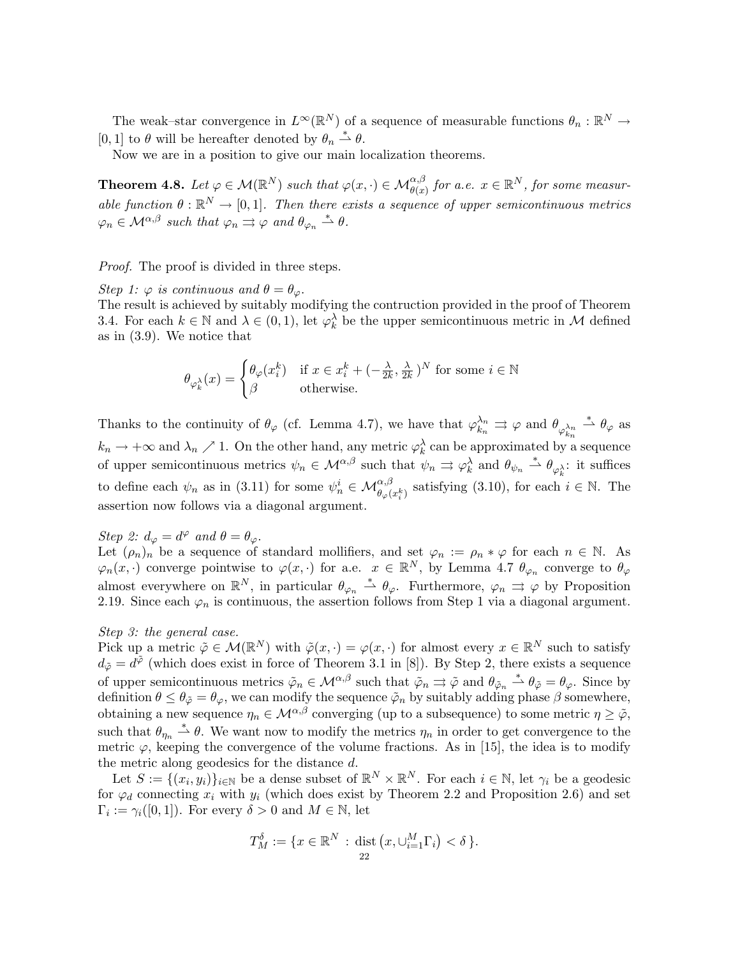The weak–star convergence in  $L^{\infty}(\mathbb{R}^N)$  of a sequence of measurable functions  $\theta_n : \mathbb{R}^N \to$ [0, 1] to  $\theta$  will be hereafter denoted by  $\theta_n \stackrel{*}{\rightharpoonup} \theta$ .

Now we are in a position to give our main localization theorems.

**Theorem 4.8.** Let  $\varphi \in \mathcal{M}(\mathbb{R}^N)$  such that  $\varphi(x, \cdot) \in \mathcal{M}_{\theta(x)}^{\alpha, \beta}$  for a.e.  $x \in \mathbb{R}^N$ , for some measurable function  $\theta : \mathbb{R}^N \to [0,1]$ . Then there exists a sequence of upper semicontinuous metrics  $\varphi_n \in \mathcal{M}^{\alpha,\beta}$  such that  $\varphi_n \stackrel{\rightarrow}{\Rightarrow} \varphi$  and  $\theta_{\varphi_n} \stackrel{*}{\rightharpoonup} \theta$ .

*Proof.* The proof is divided in three steps.

Step 1:  $\varphi$  is continuous and  $\theta = \theta_{\varphi}$ .

The result is achieved by suitably modifying the contruction provided in the proof of Theorem 3.4. For each  $k \in \mathbb{N}$  and  $\lambda \in (0,1)$ , let  $\varphi_k^{\lambda}$  be the upper semicontinuous metric in M defined as in (3.9). We notice that

$$
\theta_{\varphi_k^{\lambda}}(x) = \begin{cases} \theta_{\varphi}(x_i^k) & \text{if } x \in x_i^k + (-\frac{\lambda}{2k}, \frac{\lambda}{2k})^N \text{ for some } i \in \mathbb{N} \\ \beta & \text{otherwise.} \end{cases}
$$

Thanks to the continuity of  $\theta_{\varphi}$  (cf. Lemma 4.7), we have that  $\varphi_{k_n}^{\lambda_n} \rightrightarrows \varphi$  and  $\theta_{\varphi_{k_n}^{\lambda_n}} \stackrel{*}{\to} \theta_{\varphi}$  as  $k_n \to +\infty$  and  $\lambda_n \nearrow 1$ . On the other hand, any metric  $\varphi_k^{\lambda}$  can be approximated by a sequence of upper semicontinuous metrics  $\psi_n \in \mathcal{M}^{\alpha,\beta}$  such that  $\psi_n \Rightarrow \varphi_k^{\lambda}$  and  $\theta_{\psi_n} \stackrel{*}{\rightharpoonup} \theta_{\varphi_k^{\lambda}}$ : it suffices to define each  $\psi_n$  as in (3.11) for some  $\psi_n^i \in \mathcal{M}_{\theta_\varphi(x_i^k)}^{\alpha,\beta}$  satisfying (3.10), for each  $i \in \mathbb{N}$ . The assertion now follows via a diagonal argument.

# Step 2:  $d_{\varphi} = d^{\varphi}$  and  $\theta = \theta_{\varphi}$ .

Let  $(\rho_n)_n$  be a sequence of standard mollifiers, and set  $\varphi_n := \rho_n * \varphi$  for each  $n \in \mathbb{N}$ . As  $\varphi_n(x, \cdot)$  converge pointwise to  $\varphi(x, \cdot)$  for a.e.  $x \in \mathbb{R}^N$ , by Lemma 4.7  $\theta_{\varphi_n}$  converge to  $\theta_{\varphi_n}$ almost everywhere on  $\mathbb{R}^N$ , in particular  $\theta_{\varphi_n} \stackrel{*}{\rightharpoonup} \theta_{\varphi}$ . Furthermore,  $\varphi_n \rightrightarrows \varphi$  by Proposition 2.19. Since each  $\varphi_n$  is continuous, the assertion follows from Step 1 via a diagonal argument.

## Step 3: the general case.

Pick up a metric  $\tilde{\varphi} \in \mathcal{M}(\mathbb{R}^N)$  with  $\tilde{\varphi}(x, \cdot) = \varphi(x, \cdot)$  for almost every  $x \in \mathbb{R}^N$  such to satisfy  $d_{\tilde{\varphi}} = d^{\tilde{\varphi}}$  (which does exist in force of Theorem 3.1 in [8]). By Step 2, there exists a sequence of upper semicontinuous metrics  $\tilde{\varphi}_n \in \mathcal{M}^{\alpha,\beta}$  such that  $\tilde{\varphi}_n \rightrightarrows \tilde{\varphi}$  and  $\theta_{\tilde{\varphi}_n} \stackrel{*}{\rightrightarrows} \theta_{\tilde{\varphi}} = \theta_{\varphi}$ . Since by definition  $\theta \leq \theta_{\tilde{\varphi}} = \theta_{\varphi}$ , we can modify the sequence  $\tilde{\varphi}_n$  by suitably adding phase  $\beta$  somewhere, obtaining a new sequence  $\eta_n \in \mathcal{M}^{\alpha,\beta}$  converging (up to a subsequence) to some metric  $\eta \geq \tilde{\varphi}$ , such that  $\theta_{\eta_n} \stackrel{*}{\rightharpoonup} \theta$ . We want now to modify the metrics  $\eta_n$  in order to get convergence to the metric  $\varphi$ , keeping the convergence of the volume fractions. As in [15], the idea is to modify the metric along geodesics for the distance d.

Let  $S := \{(x_i, y_i)\}_{i \in \mathbb{N}}$  be a dense subset of  $\mathbb{R}^N \times \mathbb{R}^N$ . For each  $i \in \mathbb{N}$ , let  $\gamma_i$  be a geodesic for  $\varphi_d$  connecting  $x_i$  with  $y_i$  (which does exist by Theorem 2.2 and Proposition 2.6) and set  $\Gamma_i := \gamma_i([0,1])$ . For every  $\delta > 0$  and  $M \in \mathbb{N}$ , let

$$
T_M^{\delta} := \{ x \in \mathbb{R}^N : \operatorname{dist}(x, \cup_{i=1}^M \Gamma_i) < \delta \}.
$$
\n22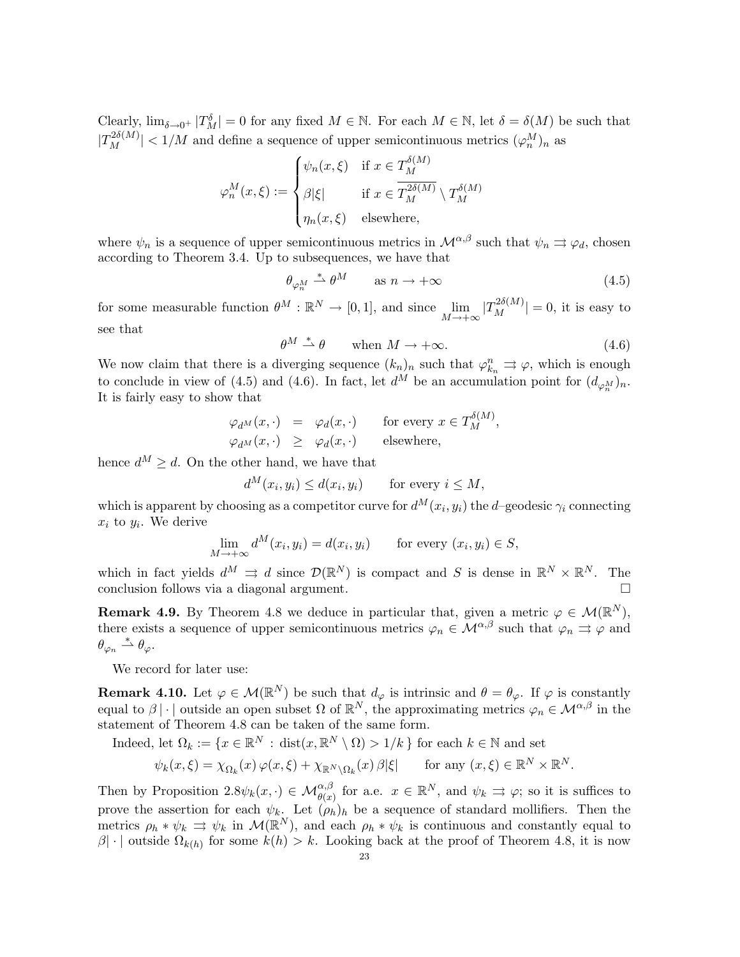Clearly,  $\lim_{\delta \to 0^+} |T_M^{\delta}| = 0$  for any fixed  $M \in \mathbb{N}$ . For each  $M \in \mathbb{N}$ , let  $\delta = \delta(M)$  be such that  $|T_M^{2\delta(M)}|$  < 1/M and define a sequence of upper semicontinuous metrics  $(\varphi_n^M)_n$  as

$$
\varphi_n^M(x,\xi) := \begin{cases} \psi_n(x,\xi) & \text{if } x \in T_M^{\delta(M)} \\ \beta|\xi| & \text{if } x \in \overline{T_M^{2\delta(M)}} \setminus T_M^{\delta(M)} \\ \eta_n(x,\xi) & \text{elsewhere,} \end{cases}
$$

where  $\psi_n$  is a sequence of upper semicontinuous metrics in  $\mathcal{M}^{\alpha,\beta}$  such that  $\psi_n \rightrightarrows \varphi_d$ , chosen according to Theorem 3.4. Up to subsequences, we have that

$$
\theta_{\varphi_n^M} \stackrel{*}{\rightharpoonup} \theta^M \qquad \text{as } n \to +\infty \tag{4.5}
$$

for some measurable function  $\theta^M : \mathbb{R}^N \to [0,1]$ , and since  $\lim_{M \to +\infty} |T_M^{2\delta(M)}| = 0$ , it is easy to see that

$$
\theta^M \stackrel{*}{\rightharpoonup} \theta \qquad \text{when } M \to +\infty. \tag{4.6}
$$

 $\mathcal{L}(\mathbf{M})$ 

We now claim that there is a diverging sequence  $(k_n)_n$  such that  $\varphi_{k_n}^n \rightrightarrows \varphi$ , which is enough to conclude in view of (4.5) and (4.6). In fact, let  $d^M$  be an accumulation point for  $(d_{\varphi_n^M})_n$ . It is fairly easy to show that

$$
\varphi_{d^M}(x, \cdot) = \varphi_d(x, \cdot) \quad \text{for every } x \in T_M^{o(M)},
$$
  

$$
\varphi_{d^M}(x, \cdot) \geq \varphi_d(x, \cdot) \quad \text{elsewhere,}
$$

hence  $d^M > d$ . On the other hand, we have that

$$
d^M(x_i, y_i) \le d(x_i, y_i) \qquad \text{for every } i \le M,
$$

which is apparent by choosing as a competitor curve for  $d^M(x_i, y_i)$  the d-geodesic  $\gamma_i$  connecting  $x_i$  to  $y_i$ . We derive

$$
\lim_{M \to +\infty} d^M(x_i, y_i) = d(x_i, y_i) \quad \text{for every } (x_i, y_i) \in S,
$$

which in fact yields  $d^M \rightrightarrows d$  since  $\mathcal{D}(\mathbb{R}^N)$  is compact and S is dense in  $\mathbb{R}^N \times \mathbb{R}^N$ . The conclusion follows via a diagonal argument.

**Remark 4.9.** By Theorem 4.8 we deduce in particular that, given a metric  $\varphi \in \mathcal{M}(\mathbb{R}^N)$ , there exists a sequence of upper semicontinuous metrics  $\varphi_n \in \mathcal{M}^{\alpha,\beta}$  such that  $\varphi_n \rightrightarrows \varphi$  and  $\theta_{\varphi_n} \stackrel{*}{\rightharpoonup} \theta_{\varphi}.$ 

We record for later use:

**Remark 4.10.** Let  $\varphi \in \mathcal{M}(\mathbb{R}^N)$  be such that  $d_{\varphi}$  is intrinsic and  $\theta = \theta_{\varphi}$ . If  $\varphi$  is constantly equal to  $\beta \mid \cdot \mid$  outside an open subset  $\Omega$  of  $\mathbb{R}^N$ , the approximating metrics  $\varphi_n \in \mathcal{M}^{\alpha,\beta}$  in the statement of Theorem 4.8 can be taken of the same form.

Indeed, let  $\Omega_k := \{x \in \mathbb{R}^N : \text{dist}(x, \mathbb{R}^N \setminus \Omega) > 1/k \}$  for each  $k \in \mathbb{N}$  and set

$$
\psi_k(x,\xi) = \chi_{\Omega_k}(x)\,\varphi(x,\xi) + \chi_{\mathbb{R}^N \setminus \Omega_k}(x)\,\beta|\xi| \qquad \text{for any } (x,\xi) \in \mathbb{R}^N \times \mathbb{R}^N.
$$

Then by Proposition  $2.8\psi_k(x, \cdot) \in \mathcal{M}_{\theta(x)}^{\alpha,\beta}$  for a.e.  $x \in \mathbb{R}^N$ , and  $\psi_k \Rightarrow \varphi$ ; so it is suffices to prove the assertion for each  $\psi_k$ . Let  $(\rho_h)_h$  be a sequence of standard mollifiers. Then the metrics  $\rho_h * \psi_k \Rightarrow \psi_k$  in  $\mathcal{M}(\mathbb{R}^N)$ , and each  $\rho_h * \psi_k$  is continuous and constantly equal to  $\beta$ | · | outside  $\Omega_{k(h)}$  for some  $k(h) > k$ . Looking back at the proof of Theorem 4.8, it is now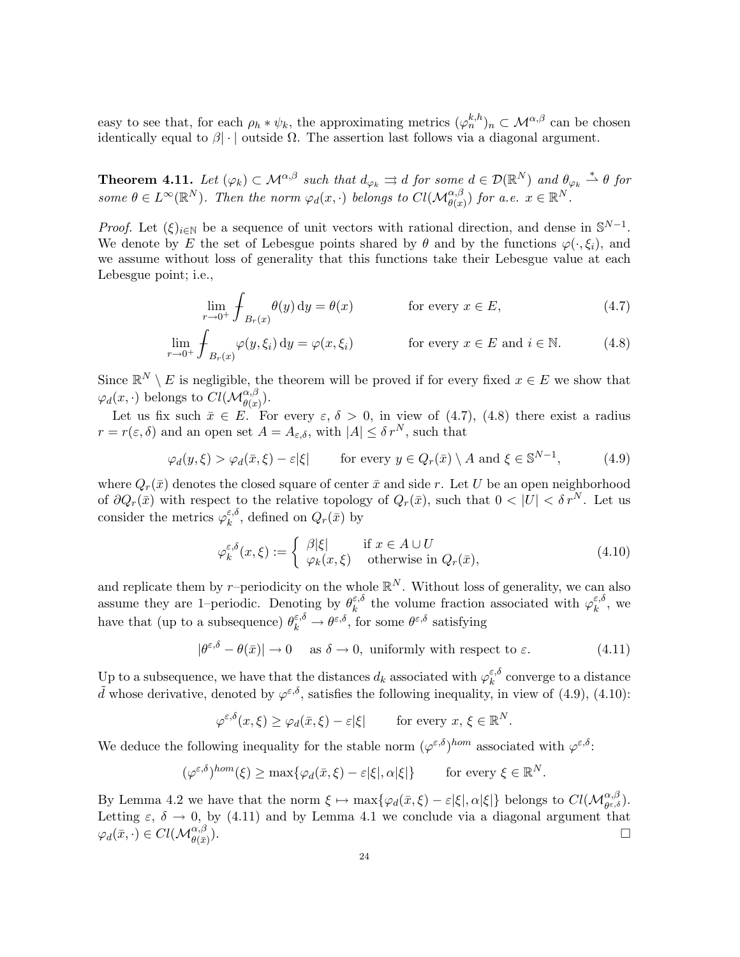easy to see that, for each  $\rho_h * \psi_k$ , the approximating metrics  $(\varphi_n^{k,h})_n \subset \mathcal{M}^{\alpha,\beta}$  can be chosen identically equal to  $\beta$  · | outside  $\Omega$ . The assertion last follows via a diagonal argument.

**Theorem 4.11.** Let  $(\varphi_k) \subset \mathcal{M}^{\alpha,\beta}$  such that  $d_{\varphi_k} \rightrightarrows d$  for some  $d \in \mathcal{D}(\mathbb{R}^N)$  and  $\theta_{\varphi_k} \overset{*}{\rightharpoonup} \theta$  for some  $\theta \in L^{\infty}(\mathbb{R}^N)$ . Then the norm  $\varphi_d(x, \cdot)$  belongs to  $Cl(\mathcal{M}_{\theta(x)}^{\alpha,\beta})$  for a.e.  $x \in \mathbb{R}^N$ .

*Proof.* Let  $(\xi)_{i\in\mathbb{N}}$  be a sequence of unit vectors with rational direction, and dense in  $\mathbb{S}^{N-1}$ . We denote by E the set of Lebesgue points shared by  $\theta$  and by the functions  $\varphi(\cdot,\xi_i)$ , and we assume without loss of generality that this functions take their Lebesgue value at each Lebesgue point; i.e.,

$$
\lim_{r \to 0^+} \operatorname{\int_{B_r(x)} \theta(y) dy} = \theta(x) \qquad \text{for every } x \in E,
$$
\n(4.7)

$$
\lim_{r \to 0^+} \operatorname{\int_{B_r(x)}} \varphi(y, \xi_i) \, \mathrm{d}y = \varphi(x, \xi_i) \qquad \text{for every } x \in E \text{ and } i \in \mathbb{N}.
$$
 (4.8)

Since  $\mathbb{R}^N \setminus E$  is negligible, the theorem will be proved if for every fixed  $x \in E$  we show that  $\varphi_d(x, \cdot)$  belongs to  $Cl(\mathcal{M}_{\theta(x)}^{\alpha, \beta}).$ 

Let us fix such  $\bar{x} \in E$ . For every  $\varepsilon, \delta > 0$ , in view of (4.7), (4.8) there exist a radius  $r = r(\varepsilon, \delta)$  and an open set  $A = A_{\varepsilon, \delta}$ , with  $|A| \leq \delta r^N$ , such that

$$
\varphi_d(y,\xi) > \varphi_d(\bar{x},\xi) - \varepsilon|\xi| \qquad \text{for every } y \in Q_r(\bar{x}) \setminus A \text{ and } \xi \in \mathbb{S}^{N-1}, \tag{4.9}
$$

where  $Q_r(\bar{x})$  denotes the closed square of center  $\bar{x}$  and side r. Let U be an open neighborhood of  $\partial Q_r(\bar{x})$  with respect to the relative topology of  $Q_r(\bar{x})$ , such that  $0 < |U| < \delta r^N$ . Let us consider the metrics  $\varphi_k^{\varepsilon,\delta}$  $\zeta_k^{\varepsilon,o}$ , defined on  $Q_r(\bar{x})$  by

$$
\varphi_k^{\varepsilon,\delta}(x,\xi) := \begin{cases} \beta|\xi| & \text{if } x \in A \cup U \\ \varphi_k(x,\xi) & \text{otherwise in } Q_r(\bar{x}), \end{cases}
$$
(4.10)

and replicate them by r-periodicity on the whole  $\mathbb{R}^N$ . Without loss of generality, we can also assume they are 1–periodic. Denoting by  $\theta_k^{\varepsilon,\delta}$  $\epsilon_k^{\varepsilon,\delta}$  the volume fraction associated with  $\varphi_k^{\varepsilon,\delta}$  $\frac{\varepsilon, o}{k}$ , we have that (up to a subsequence)  $\theta_k^{\varepsilon,\delta} \to \theta^{\varepsilon,\delta}$ , for some  $\theta^{\varepsilon,\delta}$  satisfying

$$
|\theta^{\varepsilon,\delta} - \theta(\bar{x})| \to 0 \quad \text{ as } \delta \to 0, \text{ uniformly with respect to } \varepsilon. \tag{4.11}
$$

Up to a subsequence, we have that the distances  $d_k$  associated with  $\varphi_k^{\varepsilon,\delta}$  $\frac{\varepsilon, o}{k}$  converge to a distance  $\tilde{d}$  whose derivative, denoted by  $\varphi^{\varepsilon,\delta}$ , satisfies the following inequality, in view of (4.9), (4.10):

$$
\varphi^{\varepsilon,\delta}(x,\xi) \ge \varphi_d(\bar{x},\xi) - \varepsilon |\xi| \qquad \text{for every } x, \, \xi \in \mathbb{R}^N.
$$

We deduce the following inequality for the stable norm  $(\varphi^{\varepsilon,\delta})^{hom}$  associated with  $\varphi^{\varepsilon,\delta}$ :

$$
(\varphi^{\varepsilon,\delta})^{hom}(\xi) \ge \max\{\varphi_d(\bar{x},\xi) - \varepsilon|\xi|, \alpha|\xi|\} \quad \text{for every } \xi \in \mathbb{R}^N.
$$

By Lemma 4.2 we have that the norm  $\xi \mapsto \max{\{\varphi_d(\bar{x}, \xi) - \varepsilon |\xi|, \alpha |\xi|\}}$  belongs to  $Cl(\mathcal{M}_{\theta^{\varepsilon,\delta}}^{\alpha,\beta})$ . Letting  $\varepsilon$ ,  $\delta \to 0$ , by (4.11) and by Lemma 4.1 we conclude via a diagonal argument that  $\varphi_d(\bar x,\cdot)\in Cl(\mathcal{M}_{\theta(\bar x)}^{\alpha,\beta}$  $\Box$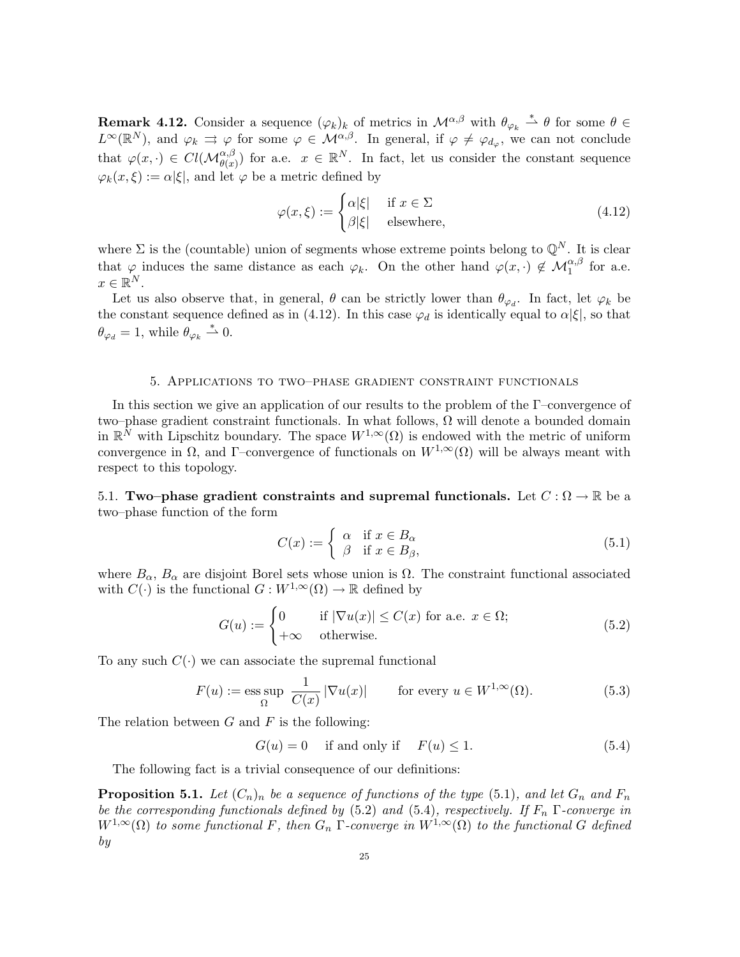**Remark 4.12.** Consider a sequence  $(\varphi_k)_k$  of metrics in  $\mathcal{M}^{\alpha,\beta}$  with  $\theta_{\varphi_k} \stackrel{*}{\rightharpoonup} \theta$  for some  $\theta \in$  $L^{\infty}(\mathbb{R}^{N})$ , and  $\varphi_k \rightrightarrows \varphi$  for some  $\varphi \in \mathcal{M}^{\alpha,\beta}$ . In general, if  $\varphi \neq \varphi_{d_{\varphi}},$  we can not conclude that  $\varphi(x, \cdot) \in Cl(\mathcal{M}_{\theta(x)}^{\alpha,\beta})$  for a.e.  $x \in \mathbb{R}^N$ . In fact, let us consider the constant sequence  $\varphi_k(x,\xi) := \alpha |\xi|$ , and let  $\varphi$  be a metric defined by

$$
\varphi(x,\xi) := \begin{cases} \alpha|\xi| & \text{if } x \in \Sigma \\ \beta|\xi| & \text{elsewhere,} \end{cases}
$$
 (4.12)

where  $\Sigma$  is the (countable) union of segments whose extreme points belong to  $\mathbb{Q}^N$ . It is clear that  $\varphi$  induces the same distance as each  $\varphi_k$ . On the other hand  $\varphi(x, \cdot) \notin \mathcal{M}_1^{\alpha, \beta}$  for a.e.  $x \in \mathbb{R}^N$ .

Let us also observe that, in general,  $\theta$  can be strictly lower than  $\theta_{\varphi_d}$ . In fact, let  $\varphi_k$  be the constant sequence defined as in (4.12). In this case  $\varphi_d$  is identically equal to  $\alpha|\xi|$ , so that  $\theta_{\varphi_d} = 1$ , while  $\theta_{\varphi_k} \stackrel{*}{\rightharpoonup} 0$ .

### 5. Applications to two–phase gradient constraint functionals

In this section we give an application of our results to the problem of the Γ–convergence of two–phase gradient constraint functionals. In what follows,  $\Omega$  will denote a bounded domain in  $\mathbb{R}^N$  with Lipschitz boundary. The space  $W^{1,\infty}(\Omega)$  is endowed with the metric of uniform convergence in  $\Omega$ , and  $\Gamma$ –convergence of functionals on  $W^{1,\infty}(\Omega)$  will be always meant with respect to this topology.

5.1. Two–phase gradient constraints and supremal functionals. Let  $C : \Omega \to \mathbb{R}$  be a two–phase function of the form

$$
C(x) := \begin{cases} \alpha & \text{if } x \in B_{\alpha} \\ \beta & \text{if } x \in B_{\beta}, \end{cases}
$$
 (5.1)

where  $B_{\alpha}$ ,  $B_{\alpha}$  are disjoint Borel sets whose union is  $\Omega$ . The constraint functional associated with  $C(\cdot)$  is the functional  $G: W^{1,\infty}(\Omega) \to \mathbb{R}$  defined by

$$
G(u) := \begin{cases} 0 & \text{if } |\nabla u(x)| \le C(x) \text{ for a.e. } x \in \Omega; \\ +\infty & \text{otherwise.} \end{cases}
$$
(5.2)

To any such  $C(\cdot)$  we can associate the supremal functional

$$
F(u) := \operatorname*{ess\,sup}_{\Omega} \frac{1}{C(x)} |\nabla u(x)| \qquad \text{for every } u \in W^{1,\infty}(\Omega). \tag{5.3}
$$

The relation between  $G$  and  $F$  is the following:

$$
G(u) = 0 \quad \text{if and only if} \quad F(u) \le 1. \tag{5.4}
$$

The following fact is a trivial consequence of our definitions:

**Proposition 5.1.** Let  $(C_n)_n$  be a sequence of functions of the type (5.1), and let  $G_n$  and  $F_n$ be the corresponding functionals defined by (5.2) and (5.4), respectively. If  $F_n$   $\Gamma$ -converge in  $W^{1,\infty}(\Omega)$  to some functional F, then  $G_n$   $\Gamma$ -converge in  $W^{1,\infty}(\Omega)$  to the functional G defined by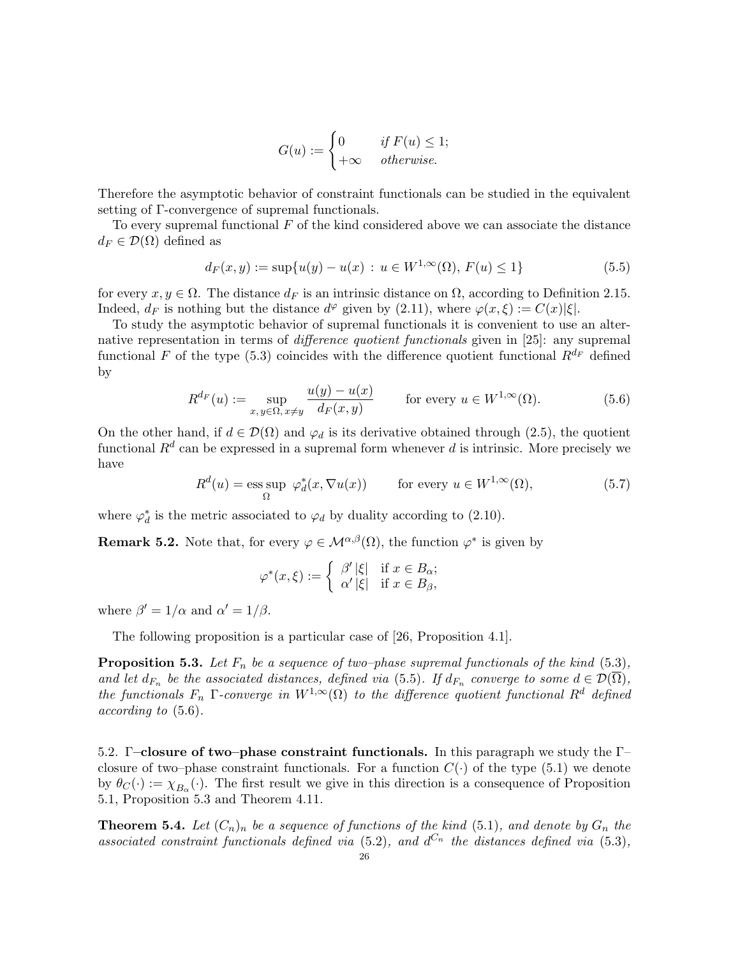$$
G(u) := \begin{cases} 0 & \text{if } F(u) \le 1; \\ +\infty & \text{otherwise.} \end{cases}
$$

Therefore the asymptotic behavior of constraint functionals can be studied in the equivalent setting of Γ-convergence of supremal functionals.

To every supremal functional  $F$  of the kind considered above we can associate the distance  $d_F \in \mathcal{D}(\Omega)$  defined as

$$
d_F(x, y) := \sup \{ u(y) - u(x) : u \in W^{1, \infty}(\Omega), F(u) \le 1 \}
$$
\n(5.5)

for every  $x, y \in \Omega$ . The distance  $d_F$  is an intrinsic distance on  $\Omega$ , according to Definition 2.15. Indeed,  $d_F$  is nothing but the distance  $d^{\varphi}$  given by (2.11), where  $\varphi(x,\xi) := C(x)|\xi|$ .

To study the asymptotic behavior of supremal functionals it is convenient to use an alternative representation in terms of difference quotient functionals given in [25]: any supremal functional F of the type (5.3) coincides with the difference quotient functional  $R^{d_F}$  defined by

$$
R^{d_F}(u) := \sup_{x,y \in \Omega, x \neq y} \frac{u(y) - u(x)}{d_F(x,y)} \qquad \text{for every } u \in W^{1,\infty}(\Omega). \tag{5.6}
$$

On the other hand, if  $d \in \mathcal{D}(\Omega)$  and  $\varphi_d$  is its derivative obtained through (2.5), the quotient functional  $R^d$  can be expressed in a supremal form whenever d is intrinsic. More precisely we have

$$
R^{d}(u) = \underset{\Omega}{\text{ess sup}} \varphi_{d}^{*}(x, \nabla u(x)) \qquad \text{for every } u \in W^{1,\infty}(\Omega), \tag{5.7}
$$

where  $\varphi_d^*$  is the metric associated to  $\varphi_d$  by duality according to (2.10).

**Remark 5.2.** Note that, for every  $\varphi \in \mathcal{M}^{\alpha,\beta}(\Omega)$ , the function  $\varphi^*$  is given by

$$
\varphi^*(x,\xi) := \begin{cases} \beta' \, |\xi| & \text{if } x \in B_\alpha; \\ \alpha' \, |\xi| & \text{if } x \in B_\beta, \end{cases}
$$

where  $\beta' = 1/\alpha$  and  $\alpha' = 1/\beta$ .

The following proposition is a particular case of [26, Proposition 4.1].

**Proposition 5.3.** Let  $F_n$  be a sequence of two–phase supremal functionals of the kind (5.3), and let  $d_{F_n}$  be the associated distances, defined via (5.5). If  $d_{F_n}$  converge to some  $d \in \mathcal{D}(\Omega)$ , the functionals  $F_n$  Γ-converge in  $W^{1,\infty}(\Omega)$  to the difference quotient functional  $R^d$  defined according to (5.6).

5.2. Γ–closure of two–phase constraint functionals. In this paragraph we study the Γ– closure of two–phase constraint functionals. For a function  $C(\cdot)$  of the type (5.1) we denote by  $\theta_C(\cdot) := \chi_{B_\alpha}(\cdot)$ . The first result we give in this direction is a consequence of Proposition 5.1, Proposition 5.3 and Theorem 4.11.

**Theorem 5.4.** Let  $(C_n)_n$  be a sequence of functions of the kind (5.1), and denote by  $G_n$  the associated constraint functionals defined via (5.2), and  $d^{C_n}$  the distances defined via (5.3),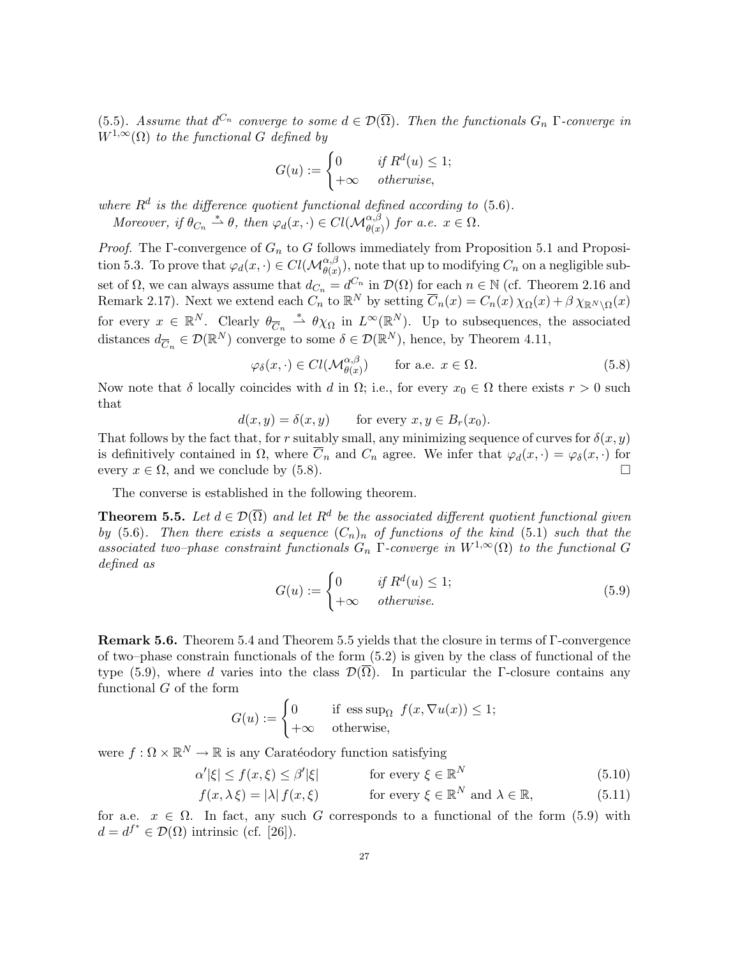(5.5). Assume that  $d^{C_n}$  converge to some  $d \in \mathcal{D}(\overline{\Omega})$ . Then the functionals  $G_n$   $\Gamma$ -converge in  $W^{1,\infty}(\Omega)$  to the functional G defined by

$$
G(u) := \begin{cases} 0 & \text{if } R^d(u) \le 1; \\ +\infty & \text{otherwise,} \end{cases}
$$

where  $R<sup>d</sup>$  is the difference quotient functional defined according to (5.6). Moreover, if  $\theta_{C_n} \stackrel{*}{\rightharpoonup} \theta$ , then  $\varphi_d(x, \cdot) \in Cl(\mathcal{M}_{\theta(x)}^{\alpha, \beta})$  for a.e.  $x \in \Omega$ .

*Proof.* The Γ-convergence of  $G_n$  to G follows immediately from Proposition 5.1 and Proposition 5.3. To prove that  $\varphi_d(x, \cdot) \in Cl(\mathcal{M}_{\theta(x)}^{\alpha,\beta}),$  note that up to modifying  $C_n$  on a negligible subset of  $\Omega$ , we can always assume that  $d_{C_n} = d^{C_n}$  in  $\mathcal{D}(\Omega)$  for each  $n \in \mathbb{N}$  (cf. Theorem 2.16 and Remark 2.17). Next we extend each  $C_n$  to  $\mathbb{R}^N$  by setting  $\overline{C}_n(x) = C_n(x)\chi_{\Omega}(x) + \beta \chi_{\mathbb{R}^N \setminus \Omega}(x)$ for every  $x \in \mathbb{R}^N$ . Clearly  $\theta_{\overline{C}_n} \stackrel{*}{\rightharpoonup} \theta \chi_{\Omega}$  in  $L^{\infty}(\mathbb{R}^N)$ . Up to subsequences, the associated distances  $d_{\overline{C}_n} \in \mathcal{D}(\mathbb{R}^N)$  converge to some  $\delta \in \mathcal{D}(\mathbb{R}^N)$ , hence, by Theorem 4.11,

$$
\varphi_{\delta}(x,\cdot) \in Cl(\mathcal{M}_{\theta(x)}^{\alpha,\beta}) \qquad \text{for a.e. } x \in \Omega.
$$
 (5.8)

Now note that  $\delta$  locally coincides with d in  $\Omega$ ; i.e., for every  $x_0 \in \Omega$  there exists  $r > 0$  such that

$$
d(x, y) = \delta(x, y) \quad \text{for every } x, y \in B_r(x_0).
$$

That follows by the fact that, for r suitably small, any minimizing sequence of curves for  $\delta(x, y)$ is definitively contained in  $\Omega$ , where  $\overline{C}_n$  and  $C_n$  agree. We infer that  $\varphi_d(x, \cdot) = \varphi_\delta(x, \cdot)$  for every  $x \in \Omega$ , and we conclude by (5.8).

The converse is established in the following theorem.

**Theorem 5.5.** Let  $d \in \mathcal{D}(\overline{\Omega})$  and let  $R^d$  be the associated different quotient functional given by (5.6). Then there exists a sequence  $(C_n)_n$  of functions of the kind (5.1) such that the associated two–phase constraint functionals  $G_n$  Γ-converge in  $W^{1,\infty}(\Omega)$  to the functional G defined as

$$
G(u) := \begin{cases} 0 & \text{if } R^d(u) \le 1; \\ +\infty & \text{otherwise.} \end{cases}
$$
 (5.9)

Remark 5.6. Theorem 5.4 and Theorem 5.5 yields that the closure in terms of Γ-convergence of two–phase constrain functionals of the form (5.2) is given by the class of functional of the type (5.9), where d varies into the class  $\mathcal{D}(\Omega)$ . In particular the Γ-closure contains any functional G of the form

$$
G(u) := \begin{cases} 0 & \text{if } \operatorname{ess} \operatorname{sup}_{\Omega} f(x, \nabla u(x)) \le 1; \\ +\infty & \text{otherwise,} \end{cases}
$$

were  $f: \Omega \times \mathbb{R}^N \to \mathbb{R}$  is any Caratéodory function satisfying

$$
\alpha'|\xi| \le f(x,\xi) \le \beta'|\xi| \qquad \text{for every } \xi \in \mathbb{R}^N \tag{5.10}
$$

 $f(x, \lambda \xi) = |\lambda| f(x, \xi)$  for every  $\xi \in \mathbb{R}^N$  and  $\lambda \in \mathbb{R}$ , (5.11)

for a.e.  $x \in \Omega$ . In fact, any such G corresponds to a functional of the form (5.9) with  $d = d^{f^*} \in \mathcal{D}(\Omega)$  intrinsic (cf. [26]).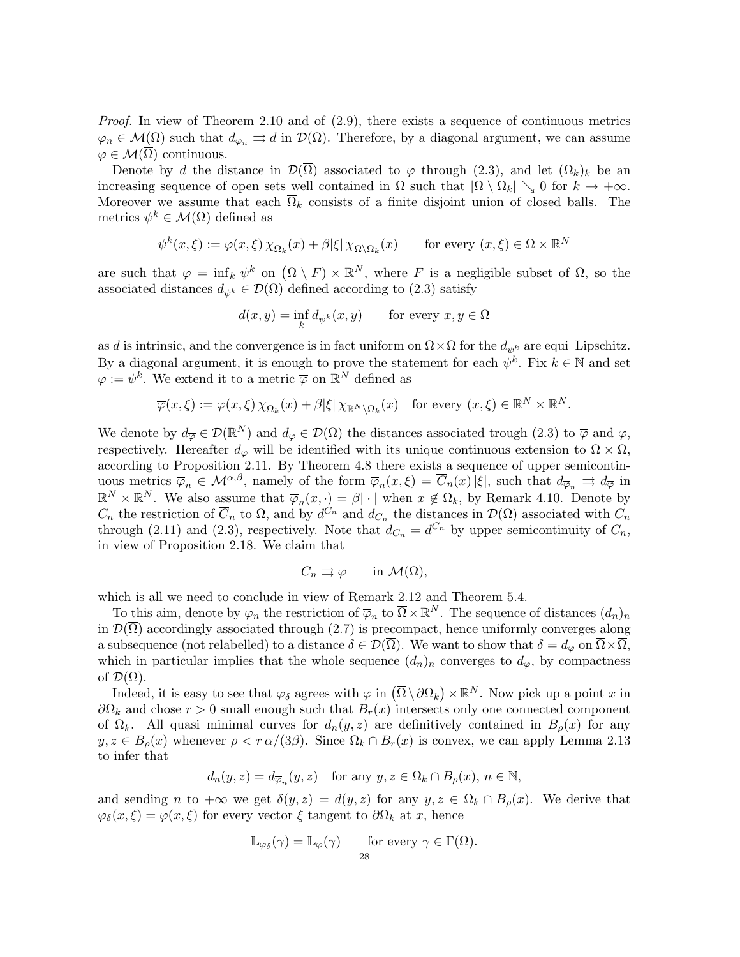Proof. In view of Theorem 2.10 and of  $(2.9)$ , there exists a sequence of continuous metrics  $\varphi_n \in \mathcal{M}(\Omega)$  such that  $d_{\varphi_n} \rightrightarrows d$  in  $\mathcal{D}(\Omega)$ . Therefore, by a diagonal argument, we can assume  $\varphi \in \mathcal{M}(\overline{\Omega})$  continuous.

Denote by d the distance in  $\mathcal{D}(\overline{\Omega})$  associated to  $\varphi$  through (2.3), and let  $(\Omega_k)_k$  be an increasing sequence of open sets well contained in  $\Omega$  such that  $|\Omega \setminus \Omega_k| \setminus 0$  for  $k \to +\infty$ . Moreover we assume that each  $\overline{\Omega}_k$  consists of a finite disjoint union of closed balls. The metrics  $\psi^k \in \mathcal{M}(\Omega)$  defined as

$$
\psi^k(x,\xi) := \varphi(x,\xi) \chi_{\Omega_k}(x) + \beta |\xi| \chi_{\Omega \setminus \Omega_k}(x) \qquad \text{for every } (x,\xi) \in \Omega \times \mathbb{R}^N
$$

are such that  $\varphi = \inf_k \psi^k$  on  $(\Omega \setminus F) \times \mathbb{R}^N$ , where F is a negligible subset of  $\Omega$ , so the associated distances  $d_{\psi^k} \in \mathcal{D}(\Omega)$  defined according to (2.3) satisfy

$$
d(x, y) = \inf_{k} d_{\psi^k}(x, y) \quad \text{for every } x, y \in \Omega
$$

as d is intrinsic, and the convergence is in fact uniform on  $\Omega \times \Omega$  for the  $d_{ijk}$  are equi–Lipschitz. By a diagonal argument, it is enough to prove the statement for each  $\psi^k$ . Fix  $k \in \mathbb{N}$  and set  $\varphi := \psi^k$ . We extend it to a metric  $\overline{\varphi}$  on  $\mathbb{R}^N$  defined as

$$
\overline{\varphi}(x,\xi) := \varphi(x,\xi) \, \chi_{\Omega_k}(x) + \beta |\xi| \, \chi_{\mathbb{R}^N \setminus \Omega_k}(x) \quad \text{for every } (x,\xi) \in \mathbb{R}^N \times \mathbb{R}^N.
$$

We denote by  $d_{\overline{\varphi}} \in \mathcal{D}(\mathbb{R}^N)$  and  $d_{\varphi} \in \mathcal{D}(\Omega)$  the distances associated trough  $(2.3)$  to  $\overline{\varphi}$  and  $\varphi$ , respectively. Hereafter  $d_{\varphi}$  will be identified with its unique continuous extension to  $\overline{\Omega} \times \overline{\Omega}$ , according to Proposition 2.11. By Theorem 4.8 there exists a sequence of upper semicontinuous metrics  $\overline{\varphi}_n \in \mathcal{M}^{\alpha,\beta}$ , namely of the form  $\overline{\varphi}_n(x,\xi) = \overline{C}_n(x)$  | $\xi$ |, such that  $d_{\overline{\varphi}_n} \Rightarrow d_{\overline{\varphi}}$  in  $\mathbb{R}^N \times \mathbb{R}^N$ . We also assume that  $\overline{\varphi}_n(x, \cdot) = \beta |\cdot|$  when  $x \notin \Omega_k$ , by Remark 4.10. Denote by  $C_n$  the restriction of  $\overline{C}_n$  to  $\Omega$ , and by  $d^{C_n}$  and  $d_{C_n}$  the distances in  $\mathcal{D}(\Omega)$  associated with  $C_n$ through (2.11) and (2.3), respectively. Note that  $d_{C_n} = d^{C_n}$  by upper semicontinuity of  $C_n$ , in view of Proposition 2.18. We claim that

$$
C_n \rightrightarrows \varphi \qquad \text{in } \mathcal{M}(\Omega),
$$

which is all we need to conclude in view of Remark 2.12 and Theorem 5.4.

To this aim, denote by  $\varphi_n$  the restriction of  $\overline{\varphi}_n$  to  $\overline{\Omega} \times \mathbb{R}^N$ . The sequence of distances  $(d_n)_n$ in  $\mathcal{D}(\Omega)$  accordingly associated through (2.7) is precompact, hence uniformly converges along a subsequence (not relabelled) to a distance  $\delta \in \mathcal{D}(\overline{\Omega})$ . We want to show that  $\delta = d_{\varphi}$  on  $\overline{\Omega} \times \overline{\Omega}$ , which in particular implies that the whole sequence  $(d_n)_n$  converges to  $d_{\varphi}$ , by compactness of  $\mathcal{D}(\overline{\Omega})$ .

Indeed, it is easy to see that  $\varphi_{\delta}$  agrees with  $\overline{\varphi}$  in  $(\overline{\Omega} \setminus \partial \Omega_k) \times \mathbb{R}^N$ . Now pick up a point x in  $\partial\Omega_k$  and chose  $r > 0$  small enough such that  $B_r(x)$  intersects only one connected component of  $\Omega_k$ . All quasi-minimal curves for  $d_n(y, z)$  are definitively contained in  $B_\rho(x)$  for any  $y, z \in B_\rho(x)$  whenever  $\rho < r \alpha/(3\beta)$ . Since  $\Omega_k \cap B_r(x)$  is convex, we can apply Lemma 2.13 to infer that

$$
d_n(y, z) = d_{\overline{\varphi}_n}(y, z) \quad \text{for any } y, z \in \Omega_k \cap B_{\rho}(x), \ n \in \mathbb{N},
$$

and sending n to  $+\infty$  we get  $\delta(y, z) = d(y, z)$  for any  $y, z \in \Omega_k \cap B_\rho(x)$ . We derive that  $\varphi_{\delta}(x,\xi) = \varphi(x,\xi)$  for every vector  $\xi$  tangent to  $\partial \Omega_k$  at x, hence

$$
\mathbb{L}_{\varphi_{\delta}}(\gamma) = \mathbb{L}_{\varphi}(\gamma) \quad \text{for every } \gamma \in \Gamma(\overline{\Omega}).
$$
  
28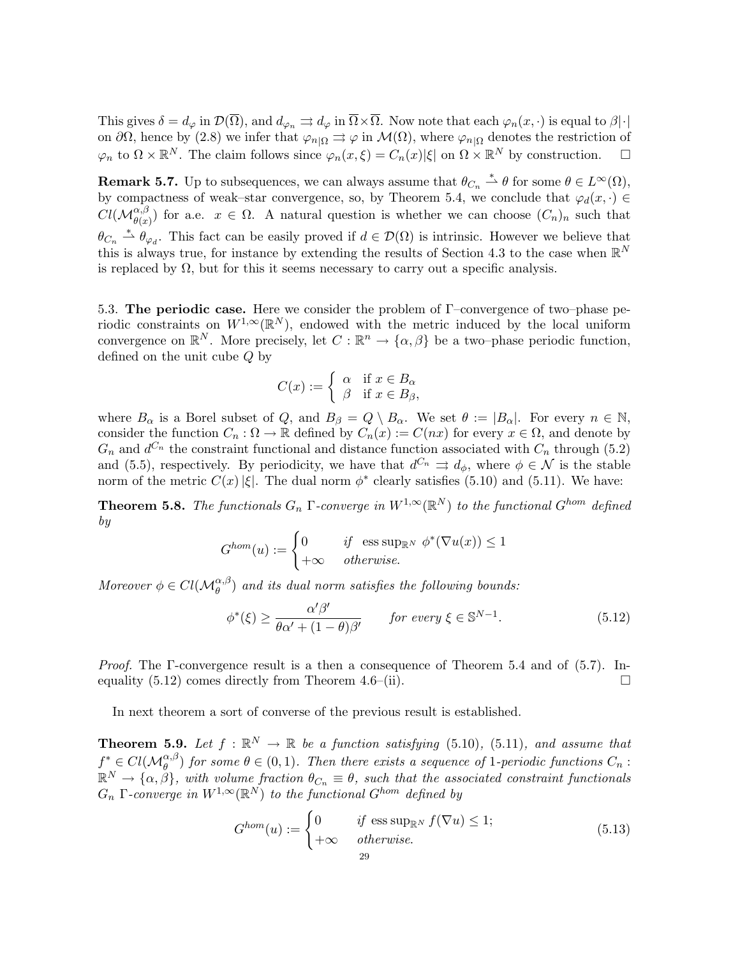This gives  $\delta = d_{\varphi}$  in  $\mathcal{D}(\overline{\Omega})$ , and  $d_{\varphi_n} \rightrightarrows d_{\varphi}$  in  $\overline{\Omega} \times \overline{\Omega}$ . Now note that each  $\varphi_n(x, \cdot)$  is equal to  $\beta | \cdot |$ on  $\partial\Omega$ , hence by (2.8) we infer that  $\varphi_{n|\Omega} \rightrightarrows \varphi$  in  $\mathcal{M}(\Omega)$ , where  $\varphi_{n|\Omega}$  denotes the restriction of  $\varphi_n$  to  $\Omega \times \mathbb{R}^N$ . The claim follows since  $\varphi_n(x,\xi) = C_n(x)|\xi|$  on  $\Omega \times \mathbb{R}^N$  by construction.  $\square$ 

**Remark 5.7.** Up to subsequences, we can always assume that  $\theta_{C_n} \stackrel{*}{\rightharpoonup} \theta$  for some  $\theta \in L^{\infty}(\Omega)$ , by compactness of weak–star convergence, so, by Theorem 5.4, we conclude that  $\varphi_d(x, \cdot) \in$  $Cl(M_{\theta(x)}^{\alpha,\beta})$  for a.e.  $x \in \Omega$ . A natural question is whether we can choose  $(C_n)_n$  such that  $\theta_{C_n} \stackrel{*}{\rightharpoonup} \theta_{\varphi_d}$ . This fact can be easily proved if  $d \in \mathcal{D}(\Omega)$  is intrinsic. However we believe that this is always true, for instance by extending the results of Section 4.3 to the case when  $\mathbb{R}^N$ is replaced by  $\Omega$ , but for this it seems necessary to carry out a specific analysis.

5.3. The periodic case. Here we consider the problem of  $\Gamma$ –convergence of two–phase periodic constraints on  $W^{1,\infty}(\mathbb{R}^N)$ , endowed with the metric induced by the local uniform convergence on  $\mathbb{R}^N$ . More precisely, let  $C : \mathbb{R}^n \to {\{\alpha, \beta\}}$  be a two–phase periodic function, defined on the unit cube Q by

$$
C(x) := \begin{cases} \alpha & \text{if } x \in B_{\alpha} \\ \beta & \text{if } x \in B_{\beta}, \end{cases}
$$

where  $B_{\alpha}$  is a Borel subset of Q, and  $B_{\beta} = Q \setminus B_{\alpha}$ . We set  $\theta := |B_{\alpha}|$ . For every  $n \in \mathbb{N}$ , consider the function  $C_n : \Omega \to \mathbb{R}$  defined by  $C_n(x) := C(nx)$  for every  $x \in \Omega$ , and denote by  $G_n$  and  $d^{C_n}$  the constraint functional and distance function associated with  $C_n$  through (5.2) and (5.5), respectively. By periodicity, we have that  $d^{C_n} \rightrightarrows d_{\phi}$ , where  $\phi \in \mathcal{N}$  is the stable norm of the metric  $C(x)|\xi|$ . The dual norm  $\phi^*$  clearly satisfies (5.10) and (5.11). We have:

**Theorem 5.8.** The functionals  $G_n$  Γ-converge in  $W^{1,\infty}(\mathbb{R}^N)$  to the functional  $G^{hom}$  defined by

$$
G^{hom}(u) := \begin{cases} 0 & \text{if } \operatorname{ess \, sup}_{\mathbb{R}^N} \phi^*(\nabla u(x)) \le 1 \\ +\infty & \text{otherwise.} \end{cases}
$$

Moreover  $\phi \in Cl(\mathcal{M}_{\theta}^{\alpha,\beta})$  and its dual norm satisfies the following bounds:

$$
\phi^*(\xi) \ge \frac{\alpha'\beta'}{\theta\alpha' + (1-\theta)\beta'} \qquad \text{for every } \xi \in \mathbb{S}^{N-1}.
$$
 (5.12)

*Proof.* The  $\Gamma$ -convergence result is a then a consequence of Theorem 5.4 and of (5.7). Inequality  $(5.12)$  comes directly from Theorem 4.6–(ii).

In next theorem a sort of converse of the previous result is established.

**Theorem 5.9.** Let  $f : \mathbb{R}^N \to \mathbb{R}$  be a function satisfying (5.10), (5.11), and assume that  $f^* \in Cl(\mathcal{M}_{\theta}^{\alpha,\beta})$  for some  $\theta \in (0,1)$ . Then there exists a sequence of 1-periodic functions  $C_n$ :  $\mathbb{R}^N \to \{\alpha, \beta\},\$  with volume fraction  $\theta_{C_n} \equiv \theta$ , such that the associated constraint functionals  $G_n$  Γ-converge in  $W^{1,\infty}(\mathbb{R}^N)$  to the functional  $G^{hom}$  defined by

$$
G^{hom}(u) := \begin{cases} 0 & \text{if } \operatorname{ess} \operatorname{sup}_{\mathbb{R}^N} f(\nabla u) \le 1; \\ +\infty & \text{otherwise.} \end{cases}
$$
(5.13)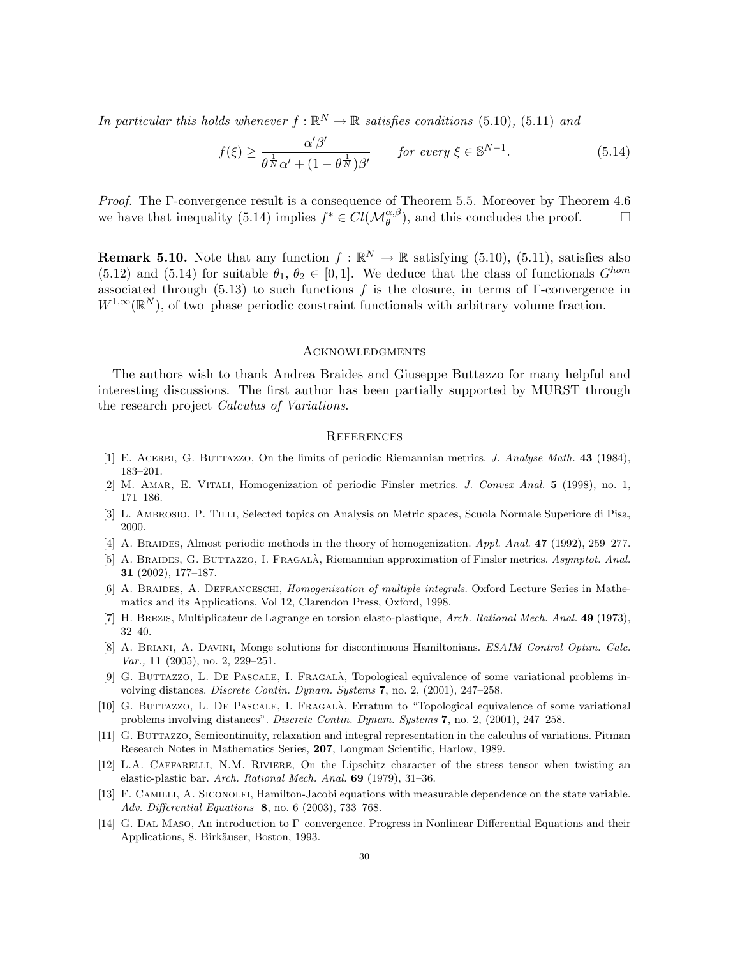In particular this holds whenever  $f : \mathbb{R}^N \to \mathbb{R}$  satisfies conditions (5.10), (5.11) and

$$
f(\xi) \ge \frac{\alpha'\beta'}{\theta^{\frac{1}{N}}\alpha' + (1 - \theta^{\frac{1}{N}})\beta'} \qquad \text{for every } \xi \in \mathbb{S}^{N-1}.
$$
 (5.14)

Proof. The Γ-convergence result is a consequence of Theorem 5.5. Moreover by Theorem 4.6 we have that inequality (5.14) implies  $f^* \in Cl(\mathcal{M}_{\theta}^{\alpha,\beta})$ , and this concludes the proof.  $\Box$ 

**Remark 5.10.** Note that any function  $f : \mathbb{R}^N \to \mathbb{R}$  satisfying (5.10), (5.11), satisfies also (5.12) and (5.14) for suitable  $\theta_1, \theta_2 \in [0, 1]$ . We deduce that the class of functionals  $G^{hom}$ associated through (5.13) to such functions f is the closure, in terms of  $\Gamma$ -convergence in  $W^{1,\infty}(\mathbb{R}^N)$ , of two–phase periodic constraint functionals with arbitrary volume fraction.

### **ACKNOWLEDGMENTS**

The authors wish to thank Andrea Braides and Giuseppe Buttazzo for many helpful and interesting discussions. The first author has been partially supported by MURST through the research project *Calculus of Variations*.

### **REFERENCES**

- [1] E. ACERBI, G. BUTTAZZO, On the limits of periodic Riemannian metrics. J. Analyse Math. 43 (1984), 183–201.
- [2] M. Amar, E. Vitali, Homogenization of periodic Finsler metrics. J. Convex Anal. 5 (1998), no. 1, 171–186.
- [3] L. Ambrosio, P. Tilli, Selected topics on Analysis on Metric spaces, Scuola Normale Superiore di Pisa, 2000.
- [4] A. BRAIDES, Almost periodic methods in the theory of homogenization. Appl. Anal. 47 (1992), 259–277.
- [5] A. BRAIDES, G. BUTTAZZO, I. FRAGALÀ, Riemannian approximation of Finsler metrics. Asymptot. Anal. 31 (2002), 177–187.
- [6] A. BRAIDES, A. DEFRANCESCHI, *Homogenization of multiple integrals*. Oxford Lecture Series in Mathematics and its Applications, Vol 12, Clarendon Press, Oxford, 1998.
- [7] H. Brezis, Multiplicateur de Lagrange en torsion elasto-plastique, Arch. Rational Mech. Anal. 49 (1973), 32–40.
- [8] A. BRIANI, A. DAVINI, Monge solutions for discontinuous Hamiltonians. *ESAIM Control Optim. Calc.* Var., 11 (2005), no. 2, 229–251.
- [9] G. BUTTAZZO, L. DE PASCALE, I. FRAGALÀ, Topological equivalence of some variational problems involving distances. Discrete Contin. Dynam. Systems 7, no. 2, (2001), 247–258.
- [10] G. BUTTAZZO, L. DE PASCALE, I. FRAGALÀ, Erratum to "Topological equivalence of some variational problems involving distances". Discrete Contin. Dynam. Systems 7, no. 2, (2001), 247–258.
- [11] G. BUTTAZZO, Semicontinuity, relaxation and integral representation in the calculus of variations. Pitman Research Notes in Mathematics Series, 207, Longman Scientific, Harlow, 1989.
- [12] L.A. CAFFARELLI, N.M. RIVIERE, On the Lipschitz character of the stress tensor when twisting an elastic-plastic bar. Arch. Rational Mech. Anal. 69 (1979), 31–36.
- [13] F. Camilli, A. Siconolfi, Hamilton-Jacobi equations with measurable dependence on the state variable. Adv. Differential Equations 8, no. 6 (2003), 733–768.
- [14] G. Dal Maso, An introduction to Γ–convergence. Progress in Nonlinear Differential Equations and their Applications, 8. Birkäuser, Boston, 1993.